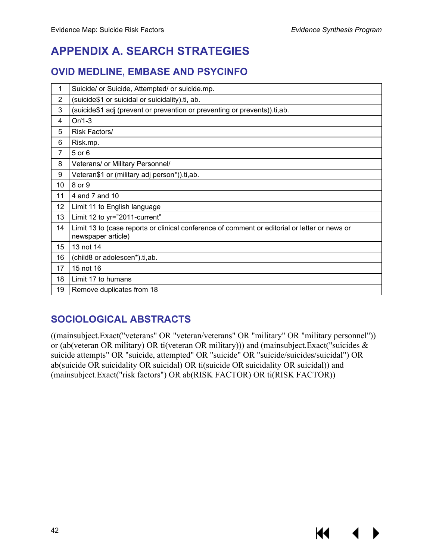К

# **APPENDIX A. SEARCH STRATEGIES**

#### **OVID MEDLINE, EMBASE AND PSYCINFO**

| 1              | Suicide/ or Suicide, Attempted/ or suicide.mp.                                                                      |
|----------------|---------------------------------------------------------------------------------------------------------------------|
| $\overline{2}$ | (suicide\$1 or suicidal or suicidality).ti, ab.                                                                     |
| 3              | (suicide\$1 adj (prevent or prevention or preventing or prevents)).ti,ab.                                           |
| 4              | $Or/1-3$                                                                                                            |
| 5              | Risk Factors/                                                                                                       |
| 6              | Risk.mp.                                                                                                            |
| 7              | 5 or 6                                                                                                              |
| 8              | Veterans/ or Military Personnel/                                                                                    |
| 9              | Veteran\$1 or (military adj person*)).ti,ab.                                                                        |
| 10             | 8 or 9                                                                                                              |
| 11             | 4 and 7 and 10                                                                                                      |
| 12             | Limit 11 to English language                                                                                        |
| 13             | Limit 12 to yr="2011-current"                                                                                       |
| 14             | Limit 13 to (case reports or clinical conference of comment or editorial or letter or news or<br>newspaper article) |
| 15             | 13 not 14                                                                                                           |
| 16             | (child8 or adolescen*).ti,ab.                                                                                       |
| 17             | 15 not 16                                                                                                           |
| 18             | Limit 17 to humans                                                                                                  |
| 19             | Remove duplicates from 18                                                                                           |

### **SOCIOLOGICAL ABSTRACTS**

((mainsubject.Exact("veterans" OR "veteran/veterans" OR "military" OR "military personnel")) or (ab(veteran OR military) OR ti(veteran OR military))) and (mainsubject.Exact("suicides & suicide attempts" OR "suicide, attempted" OR "suicide" OR "suicide/suicides/suicidal") OR ab(suicide OR suicidality OR suicidal) OR ti(suicide OR suicidality OR suicidal)) and (mainsubject.Exact("risk factors") OR ab(RISK FACTOR) OR ti(RISK FACTOR))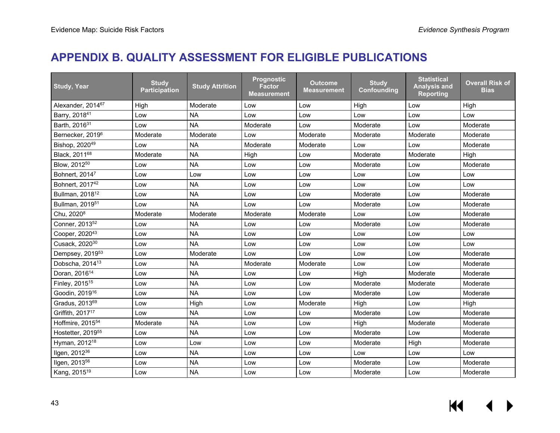# **APPENDIX B. QUALITY ASSESSMENT FOR ELIGIBLE PUBLICATIONS**

| <b>Study, Year</b>            | <b>Study</b><br><b>Participation</b> | <b>Study Attrition</b> | <b>Prognostic</b><br><b>Factor</b><br><b>Measurement</b> | <b>Outcome</b><br>Measurement | <b>Study</b><br>Confounding | <b>Statistical</b><br><b>Analysis and</b><br><b>Reporting</b> | <b>Overall Risk of</b><br><b>Bias</b> |
|-------------------------------|--------------------------------------|------------------------|----------------------------------------------------------|-------------------------------|-----------------------------|---------------------------------------------------------------|---------------------------------------|
| Alexander, 201467             | High                                 | Moderate               | Low                                                      | Low                           | High                        | Low                                                           | High                                  |
| Barry, 201841                 | Low                                  | <b>NA</b>              | Low                                                      | Low                           | Low                         | Low                                                           | Low                                   |
| Barth, 201631                 | Low                                  | <b>NA</b>              | Moderate                                                 | Low                           | Moderate                    | Low                                                           | Moderate                              |
| Bernecker, 2019 <sup>6</sup>  | Moderate                             | Moderate               | Low                                                      | Moderate                      | Moderate                    | Moderate                                                      | Moderate                              |
| Bishop, 2020 <sup>49</sup>    | Low                                  | <b>NA</b>              | Moderate                                                 | Moderate                      | Low                         | Low                                                           | Moderate                              |
| Black, 201168                 | Moderate                             | <b>NA</b>              | High                                                     | Low                           | Moderate                    | Moderate                                                      | High                                  |
| Blow, 2012 <sup>50</sup>      | Low                                  | <b>NA</b>              | Low                                                      | Low                           | Moderate                    | Low                                                           | Moderate                              |
| Bohnert, 20147                | Low                                  | Low                    | Low                                                      | Low                           | Low                         | Low                                                           | Low                                   |
| Bohnert, 2017 <sup>42</sup>   | Low                                  | <b>NA</b>              | Low                                                      | Low                           | Low                         | Low                                                           | Low                                   |
| Bullman, 2018 <sup>12</sup>   | Low                                  | <b>NA</b>              | Low                                                      | Low                           | Moderate                    | Low                                                           | Moderate                              |
| Bullman, 2019 <sup>51</sup>   | Low                                  | <b>NA</b>              | Low                                                      | Low                           | Moderate                    | Low                                                           | Moderate                              |
| Chu, 2020 <sup>8</sup>        | Moderate                             | Moderate               | Moderate                                                 | Moderate                      | Low                         | Low                                                           | Moderate                              |
| Conner, 2013 <sup>52</sup>    | Low                                  | <b>NA</b>              | Low                                                      | Low                           | Moderate                    | Low                                                           | Moderate                              |
| Cooper, 2020 <sup>43</sup>    | Low                                  | <b>NA</b>              | Low                                                      | Low                           | Low                         | Low                                                           | Low                                   |
| Cusack, 2020 <sup>30</sup>    | Low                                  | <b>NA</b>              | Low                                                      | Low                           | Low                         | Low                                                           | Low                                   |
| Dempsey, 2019 <sup>53</sup>   | Low                                  | Moderate               | Low                                                      | Low                           | Low                         | Low                                                           | Moderate                              |
| Dobscha, 2014 <sup>13</sup>   | Low                                  | <b>NA</b>              | Moderate                                                 | Moderate                      | Low                         | Low                                                           | Moderate                              |
| Doran, 2016 <sup>14</sup>     | Low                                  | <b>NA</b>              | Low                                                      | Low                           | High                        | Moderate                                                      | Moderate                              |
| Finley, 2015 <sup>15</sup>    | Low                                  | <b>NA</b>              | Low                                                      | Low                           | Moderate                    | Moderate                                                      | Moderate                              |
| Goodin, 2019 <sup>16</sup>    | Low                                  | <b>NA</b>              | Low                                                      | Low                           | Moderate                    | Low                                                           | Moderate                              |
| Gradus, 2013 <sup>69</sup>    | Low                                  | High                   | Low                                                      | Moderate                      | High                        | Low                                                           | High                                  |
| Griffith, 2017 <sup>17</sup>  | Low                                  | <b>NA</b>              | Low                                                      | Low                           | Moderate                    | Low                                                           | Moderate                              |
| Hoffmire, 2015 <sup>54</sup>  | Moderate                             | <b>NA</b>              | Low                                                      | Low                           | High                        | Moderate                                                      | Moderate                              |
| Hostetter, 2019 <sup>55</sup> | Low                                  | <b>NA</b>              | Low                                                      | Low                           | Moderate                    | Low                                                           | Moderate                              |
| Hyman, 2012 <sup>18</sup>     | Low                                  | Low                    | Low                                                      | Low                           | Moderate                    | High                                                          | Moderate                              |
| Ilgen, 2012 <sup>36</sup>     | Low                                  | <b>NA</b>              | Low                                                      | Low                           | Low                         | Low                                                           | Low                                   |
| Ilgen, 2013 <sup>56</sup>     | Low                                  | <b>NA</b>              | Low                                                      | Low                           | Moderate                    | Low                                                           | Moderate                              |
| Kang, 2015 <sup>19</sup>      | Low                                  | <b>NA</b>              | Low                                                      | Low                           | Moderate                    | Low                                                           | Moderate                              |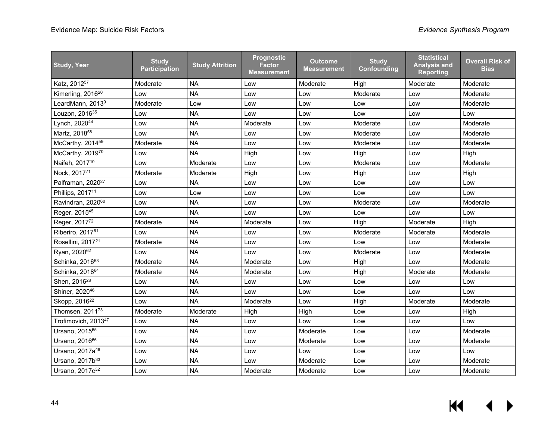| <b>Study, Year</b>              | <b>Study</b><br><b>Participation</b> | <b>Study Attrition</b> | <b>Prognostic</b><br><b>Factor</b><br><b>Measurement</b> | Outcome<br>Measurement | <b>Study</b><br>Confounding | <b>Statistical</b><br><b>Analysis and</b><br><b>Reporting</b> | <b>Overall Risk of</b><br><b>Bias</b> |
|---------------------------------|--------------------------------------|------------------------|----------------------------------------------------------|------------------------|-----------------------------|---------------------------------------------------------------|---------------------------------------|
| Katz, 2012 <sup>57</sup>        | Moderate                             | <b>NA</b>              | Low                                                      | Moderate               | High                        | Moderate                                                      | Moderate                              |
| Kimerling, 2016 <sup>20</sup>   | Low                                  | <b>NA</b>              | Low                                                      | Low                    | Moderate                    | Low                                                           | Moderate                              |
| LeardMann, 2013 <sup>9</sup>    | Moderate                             | Low                    | Low                                                      | Low                    | Low                         | Low                                                           | Moderate                              |
| Louzon, 2016 <sup>35</sup>      | Low                                  | <b>NA</b>              | Low                                                      | Low                    | Low                         | Low                                                           | Low                                   |
| Lynch, 202044                   | Low                                  | <b>NA</b>              | Moderate                                                 | Low                    | Moderate                    | Low                                                           | Moderate                              |
| Martz, 2018 <sup>58</sup>       | Low                                  | <b>NA</b>              | Low                                                      | Low                    | Moderate                    | Low                                                           | Moderate                              |
| McCarthy, 2014 <sup>59</sup>    | Moderate                             | <b>NA</b>              | Low                                                      | Low                    | Moderate                    | Low                                                           | Moderate                              |
| McCarthy, 201970                | Low                                  | <b>NA</b>              | High                                                     | Low                    | High                        | Low                                                           | High                                  |
| Naifeh, 2017 <sup>10</sup>      | Low                                  | Moderate               | Low                                                      | Low                    | Moderate                    | Low                                                           | Moderate                              |
| Nock, 201771                    | Moderate                             | Moderate               | High                                                     | Low                    | High                        | Low                                                           | High                                  |
| Palframan, 2020 <sup>27</sup>   | Low                                  | <b>NA</b>              | Low                                                      | Low                    | Low                         | Low                                                           | Low                                   |
| Phillips, 2017 <sup>11</sup>    | Low                                  | Low                    | Low                                                      | Low                    | Low                         | Low                                                           | Low                                   |
| Ravindran, 202060               | Low                                  | <b>NA</b>              | Low                                                      | Low                    | Moderate                    | Low                                                           | Moderate                              |
| Reger, 201545                   | Low                                  | <b>NA</b>              | Low                                                      | Low                    | Low                         | Low                                                           | Low                                   |
| Reger, 201772                   | Moderate                             | <b>NA</b>              | Moderate                                                 | Low                    | High                        | Moderate                                                      | High                                  |
| Riberiro, 201761                | Low                                  | <b>NA</b>              | Low                                                      | Low                    | Moderate                    | Moderate                                                      | Moderate                              |
| Rosellini, 2017 <sup>21</sup>   | Moderate                             | <b>NA</b>              | Low                                                      | Low                    | Low                         | Low                                                           | Moderate                              |
| Ryan, 202062                    | Low                                  | <b>NA</b>              | Low                                                      | Low                    | Moderate                    | Low                                                           | Moderate                              |
| Schinka, 201663                 | Moderate                             | <b>NA</b>              | Moderate                                                 | Low                    | High                        | Low                                                           | Moderate                              |
| Schinka, 2018 <sup>64</sup>     | Moderate                             | <b>NA</b>              | Moderate                                                 | Low                    | High                        | Moderate                                                      | Moderate                              |
| Shen, 2016 <sup>28</sup>        | Low                                  | <b>NA</b>              | Low                                                      | Low                    | Low                         | Low                                                           | Low                                   |
| Shiner, 2020 <sup>46</sup>      | Low                                  | <b>NA</b>              | Low                                                      | Low                    | Low                         | Low                                                           | Low                                   |
| Skopp, 2016 <sup>22</sup>       | Low                                  | <b>NA</b>              | Moderate                                                 | Low                    | High                        | Moderate                                                      | Moderate                              |
| Thomsen, 2011 <sup>73</sup>     | Moderate                             | Moderate               | High                                                     | High                   | Low                         | Low                                                           | High                                  |
| Trofimovich, 2013 <sup>47</sup> | Low                                  | <b>NA</b>              | Low                                                      | Low                    | Low                         | Low                                                           | Low                                   |
| Ursano, 201565                  | Low                                  | <b>NA</b>              | Low                                                      | Moderate               | Low                         | Low                                                           | Moderate                              |
| Ursano, 2016 <sup>66</sup>      | Low                                  | <b>NA</b>              | Low                                                      | Moderate               | Low                         | Low                                                           | Moderate                              |
| Ursano, 2017a <sup>48</sup>     | Low                                  | <b>NA</b>              | Low                                                      | Low                    | Low                         | Low                                                           | Low                                   |
| Ursano, 2017b <sup>33</sup>     | Low                                  | <b>NA</b>              | Low                                                      | Moderate               | Low                         | Low                                                           | Moderate                              |
| Ursano, 2017c <sup>32</sup>     | Low                                  | <b>NA</b>              | Moderate                                                 | Moderate               | Low                         | Low                                                           | Moderate                              |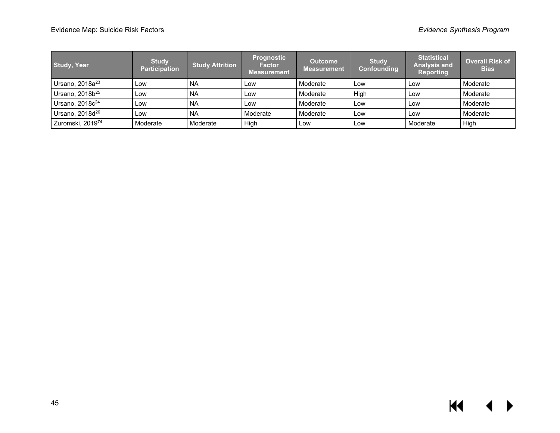| <b>Study, Year</b>          | <b>Study</b><br><b>Participation</b> | <b>Study Attrition</b> | <b>Prognostic</b><br><b>Factor</b><br><b>Measurement</b> | <b>Outcome</b><br><b>Measurement</b> | <b>Study</b><br>Confounding | <b>Statistical</b><br><b>Analysis and</b><br><b>Reporting</b> | <b>Overall Risk of</b><br><b>Bias</b> |
|-----------------------------|--------------------------------------|------------------------|----------------------------------------------------------|--------------------------------------|-----------------------------|---------------------------------------------------------------|---------------------------------------|
| Ursano, 2018a <sup>23</sup> | Low                                  | <b>NA</b>              | Low                                                      | Moderate                             | Low                         | Low                                                           | Moderate                              |
| Ursano, 2018b <sup>25</sup> | Low                                  | <b>NA</b>              | Low                                                      | Moderate                             | High                        | Low                                                           | Moderate                              |
| Ursano, 2018c <sup>24</sup> | Low                                  | <b>NA</b>              | Low                                                      | Moderate                             | Low                         | Low                                                           | Moderate                              |
| Ursano, $2018d^{26}$        | Low                                  | <b>NA</b>              | Moderate                                                 | Moderate                             | Low                         | Low                                                           | Moderate                              |
| Zuromski, 201974            | Moderate                             | Moderate               | High                                                     | Low                                  | Low                         | Moderate                                                      | High                                  |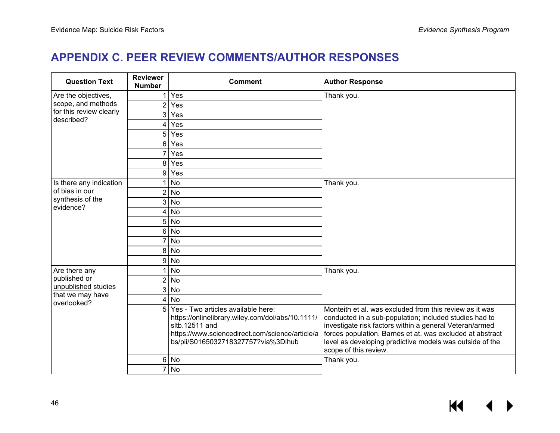### **APPENDIX C. PEER REVIEW COMMENTS/AUTHOR RESPONSES**

| <b>Question Text</b>                    | <b>Reviewer</b><br><b>Number</b> | <b>Comment</b>                                                                                                                                                                                     | <b>Author Response</b>                                                                                                                                                                                                                                                                                                         |
|-----------------------------------------|----------------------------------|----------------------------------------------------------------------------------------------------------------------------------------------------------------------------------------------------|--------------------------------------------------------------------------------------------------------------------------------------------------------------------------------------------------------------------------------------------------------------------------------------------------------------------------------|
| Are the objectives,                     | 1 <sup>1</sup>                   | Yes                                                                                                                                                                                                | Thank you.                                                                                                                                                                                                                                                                                                                     |
| scope, and methods                      | 2                                | Yes                                                                                                                                                                                                |                                                                                                                                                                                                                                                                                                                                |
| for this review clearly<br>described?   | 3                                | Yes                                                                                                                                                                                                |                                                                                                                                                                                                                                                                                                                                |
|                                         | 4                                | Yes                                                                                                                                                                                                |                                                                                                                                                                                                                                                                                                                                |
|                                         | 5                                | Yes                                                                                                                                                                                                |                                                                                                                                                                                                                                                                                                                                |
|                                         | 6                                | Yes                                                                                                                                                                                                |                                                                                                                                                                                                                                                                                                                                |
|                                         | 7                                | Yes                                                                                                                                                                                                |                                                                                                                                                                                                                                                                                                                                |
|                                         | 8                                | Yes                                                                                                                                                                                                |                                                                                                                                                                                                                                                                                                                                |
|                                         | 9                                | Yes                                                                                                                                                                                                |                                                                                                                                                                                                                                                                                                                                |
| Is there any indication                 |                                  | $1 $ No                                                                                                                                                                                            | Thank you.                                                                                                                                                                                                                                                                                                                     |
| of bias in our                          |                                  | $2$ No                                                                                                                                                                                             |                                                                                                                                                                                                                                                                                                                                |
| synthesis of the<br>evidence?           |                                  | $3$ No                                                                                                                                                                                             |                                                                                                                                                                                                                                                                                                                                |
|                                         |                                  | $4$ No                                                                                                                                                                                             |                                                                                                                                                                                                                                                                                                                                |
|                                         |                                  | $5$ No                                                                                                                                                                                             |                                                                                                                                                                                                                                                                                                                                |
|                                         |                                  | 6 No                                                                                                                                                                                               |                                                                                                                                                                                                                                                                                                                                |
|                                         |                                  | 7 No                                                                                                                                                                                               |                                                                                                                                                                                                                                                                                                                                |
|                                         |                                  | $8$ No                                                                                                                                                                                             |                                                                                                                                                                                                                                                                                                                                |
|                                         |                                  | $9$ No                                                                                                                                                                                             |                                                                                                                                                                                                                                                                                                                                |
| Are there any                           | 1                                | <b>No</b>                                                                                                                                                                                          | Thank you.                                                                                                                                                                                                                                                                                                                     |
| published or                            |                                  | 2 No                                                                                                                                                                                               |                                                                                                                                                                                                                                                                                                                                |
| unpublished studies<br>that we may have |                                  | $3$ No                                                                                                                                                                                             |                                                                                                                                                                                                                                                                                                                                |
| overlooked?                             | 4                                | <b>No</b>                                                                                                                                                                                          |                                                                                                                                                                                                                                                                                                                                |
|                                         | 5 <sup>1</sup>                   | Yes - Two articles available here:<br>https://onlinelibrary.wiley.com/doi/abs/10.1111/<br>sltb.12511 and<br>https://www.sciencedirect.com/science/article/a<br>bs/pii/S0165032718327757?via%3Dihub | Monteith et al. was excluded from this review as it was<br>conducted in a sub-population; included studies had to<br>investigate risk factors within a general Veteran/armed<br>forces population. Barnes et at. was excluded at abstract<br>level as developing predictive models was outside of the<br>scope of this review. |
|                                         |                                  | $6$ No                                                                                                                                                                                             | Thank you.                                                                                                                                                                                                                                                                                                                     |
|                                         |                                  | 7 No                                                                                                                                                                                               |                                                                                                                                                                                                                                                                                                                                |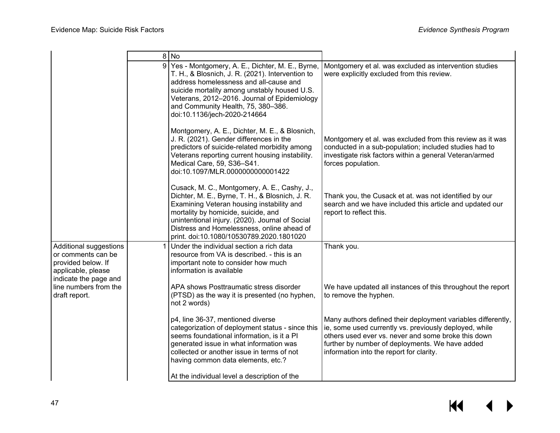|                                                                                                                   |    | 8 No                                                                                                                                                                                                                                                                                                                             |                                                                                                                                                                                                                                                                              |
|-------------------------------------------------------------------------------------------------------------------|----|----------------------------------------------------------------------------------------------------------------------------------------------------------------------------------------------------------------------------------------------------------------------------------------------------------------------------------|------------------------------------------------------------------------------------------------------------------------------------------------------------------------------------------------------------------------------------------------------------------------------|
|                                                                                                                   |    | 9 Yes - Montgomery, A. E., Dichter, M. E., Byrne,<br>T. H., & Blosnich, J. R. (2021). Intervention to<br>address homelessness and all-cause and<br>suicide mortality among unstably housed U.S.<br>Veterans, 2012-2016. Journal of Epidemiology<br>and Community Health, 75, 380-386.<br>doi:10.1136/jech-2020-214664            | Montgomery et al. was excluded as intervention studies<br>were explicitly excluded from this review.                                                                                                                                                                         |
|                                                                                                                   |    | Montgomery, A. E., Dichter, M. E., & Blosnich,<br>J. R. (2021). Gender differences in the<br>predictors of suicide-related morbidity among<br>Veterans reporting current housing instability.<br>Medical Care, 59, S36-S41.<br>doi:10.1097/MLR.0000000000001422                                                                  | Montgomery et al. was excluded from this review as it was<br>conducted in a sub-population; included studies had to<br>investigate risk factors within a general Veteran/armed<br>forces population.                                                                         |
|                                                                                                                   |    | Cusack, M. C., Montgomery, A. E., Cashy, J.,<br>Dichter, M. E., Byrne, T. H., & Blosnich, J. R.<br>Examining Veteran housing instability and<br>mortality by homicide, suicide, and<br>unintentional injury. (2020). Journal of Social<br>Distress and Homelessness, online ahead of<br>print. doi:10.1080/10530789.2020.1801020 | Thank you, the Cusack et at. was not identified by our<br>search and we have included this article and updated our<br>report to reflect this.                                                                                                                                |
| Additional suggestions<br>or comments can be<br>provided below. If<br>applicable, please<br>indicate the page and | 1. | Under the individual section a rich data<br>resource from VA is described. - this is an<br>important note to consider how much<br>information is available                                                                                                                                                                       | Thank you.                                                                                                                                                                                                                                                                   |
| line numbers from the<br>draft report.                                                                            |    | APA shows Posttraumatic stress disorder<br>(PTSD) as the way it is presented (no hyphen,<br>not 2 words)                                                                                                                                                                                                                         | We have updated all instances of this throughout the report<br>to remove the hyphen.                                                                                                                                                                                         |
|                                                                                                                   |    | p4, line 36-37, mentioned diverse<br>categorization of deployment status - since this<br>seems foundational information, is it a PI<br>generated issue in what information was<br>collected or another issue in terms of not<br>having common data elements, etc.?                                                               | Many authors defined their deployment variables differently,<br>ie, some used currently vs. previously deployed, while<br>others used ever vs. never and some broke this down<br>further by number of deployments. We have added<br>information into the report for clarity. |
|                                                                                                                   |    | At the individual level a description of the                                                                                                                                                                                                                                                                                     |                                                                                                                                                                                                                                                                              |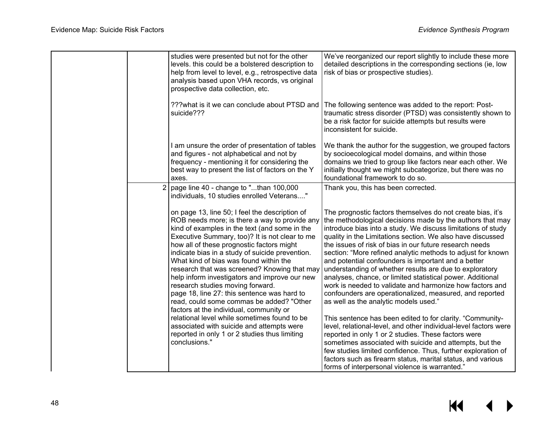|                | studies were presented but not for the other<br>levels. this could be a bolstered description to<br>help from level to level, e.g., retrospective data<br>analysis based upon VHA records, vs original<br>prospective data collection, etc.                                                                                                                                                                                                                                                                                                                                                                             | We've reorganized our report slightly to include these more<br>detailed descriptions in the corresponding sections (ie, low<br>risk of bias or prospective studies).                                                                                                                                                                                                                                                                                                                                                                                                                                                                                                                                                            |
|----------------|-------------------------------------------------------------------------------------------------------------------------------------------------------------------------------------------------------------------------------------------------------------------------------------------------------------------------------------------------------------------------------------------------------------------------------------------------------------------------------------------------------------------------------------------------------------------------------------------------------------------------|---------------------------------------------------------------------------------------------------------------------------------------------------------------------------------------------------------------------------------------------------------------------------------------------------------------------------------------------------------------------------------------------------------------------------------------------------------------------------------------------------------------------------------------------------------------------------------------------------------------------------------------------------------------------------------------------------------------------------------|
|                | ???what is it we can conclude about PTSD and<br>suicide???                                                                                                                                                                                                                                                                                                                                                                                                                                                                                                                                                              | The following sentence was added to the report: Post-<br>traumatic stress disorder (PTSD) was consistently shown to<br>be a risk factor for suicide attempts but results were<br>inconsistent for suicide.                                                                                                                                                                                                                                                                                                                                                                                                                                                                                                                      |
|                | I am unsure the order of presentation of tables<br>and figures - not alphabetical and not by<br>frequency - mentioning it for considering the<br>best way to present the list of factors on the Y<br>axes.                                                                                                                                                                                                                                                                                                                                                                                                              | We thank the author for the suggestion, we grouped factors<br>by socioecological model domains, and within those<br>domains we tried to group like factors near each other. We<br>initially thought we might subcategorize, but there was no<br>foundational framework to do so.                                                                                                                                                                                                                                                                                                                                                                                                                                                |
| $\overline{2}$ | page line 40 - change to "than 100,000<br>individuals, 10 studies enrolled Veterans"                                                                                                                                                                                                                                                                                                                                                                                                                                                                                                                                    | Thank you, this has been corrected.                                                                                                                                                                                                                                                                                                                                                                                                                                                                                                                                                                                                                                                                                             |
|                | on page 13, line 50; I feel the description of<br>ROB needs more; is there a way to provide any<br>kind of examples in the text (and some in the<br>Executive Summary, too)? It is not clear to me<br>how all of these prognostic factors might<br>indicate bias in a study of suicide prevention.<br>What kind of bias was found within the<br>research that was screened? Knowing that may<br>help inform investigators and improve our new<br>research studies moving forward.<br>page 18, line 27: this sentence was hard to<br>read, could some commas be added? "Other<br>factors at the individual, community or | The prognostic factors themselves do not create bias, it's<br>the methodological decisions made by the authors that may<br>introduce bias into a study. We discuss limitations of study<br>quality in the Limitations section. We also have discussed<br>the issues of risk of bias in our future research needs<br>section: "More refined analytic methods to adjust for known<br>and potential confounders is important and a better<br>understanding of whether results are due to exploratory<br>analyses, chance, or limited statistical power. Additional<br>work is needed to validate and harmonize how factors and<br>confounders are operationalized, measured, and reported<br>as well as the analytic models used." |
|                | relational level while sometimes found to be<br>associated with suicide and attempts were<br>reported in only 1 or 2 studies thus limiting<br>conclusions."                                                                                                                                                                                                                                                                                                                                                                                                                                                             | This sentence has been edited to for clarity. "Community-<br>level, relational-level, and other individual-level factors were<br>reported in only 1 or 2 studies. These factors were<br>sometimes associated with suicide and attempts, but the<br>few studies limited confidence. Thus, further exploration of<br>factors such as firearm status, marital status, and various<br>forms of interpersonal violence is warranted."                                                                                                                                                                                                                                                                                                |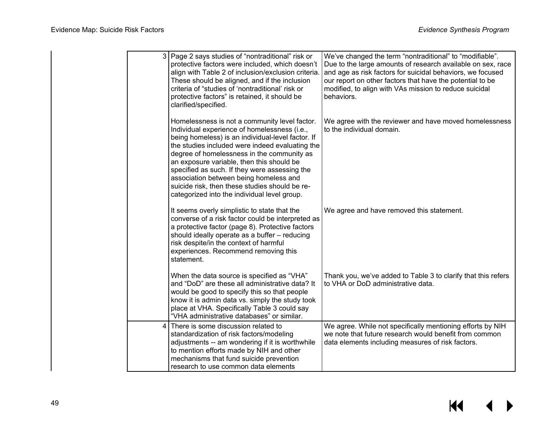|                | 3   Page 2 says studies of "nontraditional" risk or<br>protective factors were included, which doesn't<br>align with Table 2 of inclusion/exclusion criteria.<br>These should be aligned, and if the inclusion<br>criteria of "studies of 'nontraditional' risk or<br>protective factors" is retained, it should be<br>clarified/specified.                                                                                                                                                   | We've changed the term "nontraditional" to "modifiable".<br>Due to the large amounts of research available on sex, race<br>and age as risk factors for suicidal behaviors, we focused<br>our report on other factors that have the potential to be<br>modified, to align with VAs mission to reduce suicidal<br>behaviors. |
|----------------|-----------------------------------------------------------------------------------------------------------------------------------------------------------------------------------------------------------------------------------------------------------------------------------------------------------------------------------------------------------------------------------------------------------------------------------------------------------------------------------------------|----------------------------------------------------------------------------------------------------------------------------------------------------------------------------------------------------------------------------------------------------------------------------------------------------------------------------|
|                | Homelessness is not a community level factor.<br>Individual experience of homelessness (i.e.,<br>being homeless) is an individual-level factor. If<br>the studies included were indeed evaluating the<br>degree of homelessness in the community as<br>an exposure variable, then this should be<br>specified as such. If they were assessing the<br>association between being homeless and<br>suicide risk, then these studies should be re-<br>categorized into the individual level group. | We agree with the reviewer and have moved homelessness<br>to the individual domain.                                                                                                                                                                                                                                        |
|                | It seems overly simplistic to state that the<br>converse of a risk factor could be interpreted as<br>a protective factor (page 8). Protective factors<br>should ideally operate as a buffer - reducing<br>risk despite/in the context of harmful<br>experiences. Recommend removing this<br>statement.                                                                                                                                                                                        | We agree and have removed this statement.                                                                                                                                                                                                                                                                                  |
|                | When the data source is specified as "VHA"<br>and "DoD" are these all administrative data? It<br>would be good to specify this so that people<br>know it is admin data vs. simply the study took<br>place at VHA. Specifically Table 3 could say<br>"VHA administrative databases" or similar.                                                                                                                                                                                                | Thank you, we've added to Table 3 to clarify that this refers<br>to VHA or DoD administrative data.                                                                                                                                                                                                                        |
| 4 <sup>1</sup> | There is some discussion related to<br>standardization of risk factors/modeling<br>adjustments -- am wondering if it is worthwhile<br>to mention efforts made by NIH and other<br>mechanisms that fund suicide prevention<br>research to use common data elements                                                                                                                                                                                                                             | We agree. While not specifically mentioning efforts by NIH<br>we note that future research would benefit from common<br>data elements including measures of risk factors.                                                                                                                                                  |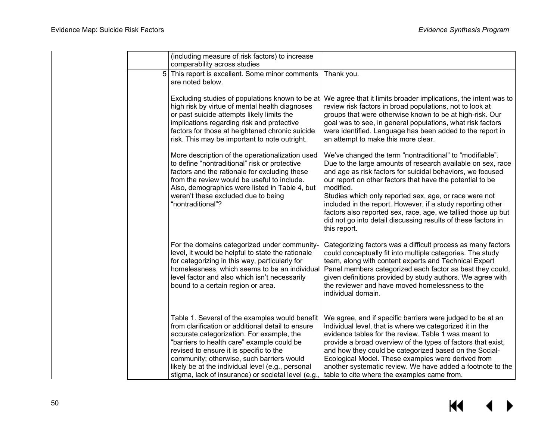|                | (including measure of risk factors) to increase<br>comparability across studies                                                                                                                                                                                                                                                                                                                   |                                                                                                                                                                                                                                                                                                                                                                                                                                                                                                                                            |
|----------------|---------------------------------------------------------------------------------------------------------------------------------------------------------------------------------------------------------------------------------------------------------------------------------------------------------------------------------------------------------------------------------------------------|--------------------------------------------------------------------------------------------------------------------------------------------------------------------------------------------------------------------------------------------------------------------------------------------------------------------------------------------------------------------------------------------------------------------------------------------------------------------------------------------------------------------------------------------|
| 5 <sub>1</sub> | This report is excellent. Some minor comments Thank you.<br>are noted below.                                                                                                                                                                                                                                                                                                                      |                                                                                                                                                                                                                                                                                                                                                                                                                                                                                                                                            |
|                | Excluding studies of populations known to be at<br>high risk by virtue of mental health diagnoses<br>or past suicide attempts likely limits the<br>implications regarding risk and protective<br>factors for those at heightened chronic suicide<br>risk. This may be important to note outright.                                                                                                 | We agree that it limits broader implications, the intent was to<br>review risk factors in broad populations, not to look at<br>groups that were otherwise known to be at high-risk. Our<br>goal was to see, in general populations, what risk factors<br>were identified. Language has been added to the report in<br>an attempt to make this more clear.                                                                                                                                                                                  |
|                | More description of the operationalization used<br>to define "nontraditional" risk or protective<br>factors and the rationale for excluding these<br>from the review would be useful to include.<br>Also, demographics were listed in Table 4, but<br>weren't these excluded due to being<br>"nontraditional"?                                                                                    | We've changed the term "nontraditional" to "modifiable".<br>Due to the large amounts of research available on sex, race<br>and age as risk factors for suicidal behaviors, we focused<br>our report on other factors that have the potential to be<br>modified.<br>Studies which only reported sex, age, or race were not<br>included in the report. However, if a study reporting other<br>factors also reported sex, race, age, we tallied those up but<br>did not go into detail discussing results of these factors in<br>this report. |
|                | For the domains categorized under community-<br>level, it would be helpful to state the rationale<br>for categorizing in this way, particularly for<br>homelessness, which seems to be an individual<br>level factor and also which isn't necessarily<br>bound to a certain region or area.                                                                                                       | Categorizing factors was a difficult process as many factors<br>could conceptually fit into multiple categories. The study<br>team, along with content experts and Technical Expert<br>Panel members categorized each factor as best they could,<br>given definitions provided by study authors. We agree with<br>the reviewer and have moved homelessness to the<br>individual domain.                                                                                                                                                    |
|                | Table 1. Several of the examples would benefit<br>from clarification or additional detail to ensure<br>accurate categorization. For example, the<br>"barriers to health care" example could be<br>revised to ensure it is specific to the<br>community; otherwise, such barriers would<br>likely be at the individual level (e.g., personal<br>stigma, lack of insurance) or societal level (e.g. | We agree, and if specific barriers were judged to be at an<br>individual level, that is where we categorized it in the<br>evidence tables for the review. Table 1 was meant to<br>provide a broad overview of the types of factors that exist,<br>and how they could be categorized based on the Social-<br>Ecological Model. These examples were derived from<br>another systematic review. We have added a footnote to the<br>table to cite where the examples came from.                                                                |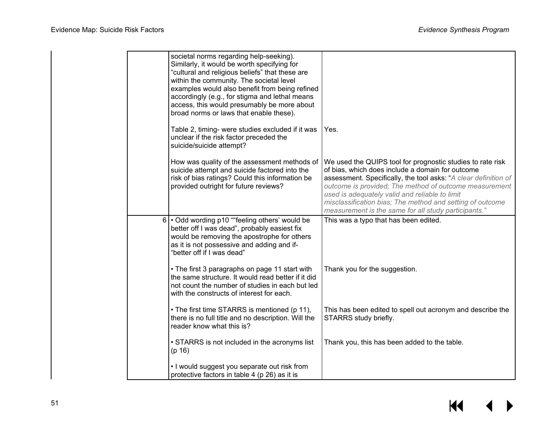| societal norms regarding help-seeking).<br>Similarly, it would be worth specifying for<br>"cultural and religious beliefs" that these are<br>within the community. The societal level<br>examples would also benefit from being refined<br>accordingly (e.g., for stigma and lethal means<br>access, this would presumably be more about<br>broad norms or laws that enable these). |                                                                                                                                                                                                                                                                                                                                                                                                                    |
|-------------------------------------------------------------------------------------------------------------------------------------------------------------------------------------------------------------------------------------------------------------------------------------------------------------------------------------------------------------------------------------|--------------------------------------------------------------------------------------------------------------------------------------------------------------------------------------------------------------------------------------------------------------------------------------------------------------------------------------------------------------------------------------------------------------------|
| Table 2, timing- were studies excluded if it was<br>unclear if the risk factor preceded the<br>suicide/suicide attempt?                                                                                                                                                                                                                                                             | Yes.                                                                                                                                                                                                                                                                                                                                                                                                               |
| How was quality of the assessment methods of<br>suicide attempt and suicide factored into the<br>risk of bias ratings? Could this information be<br>provided outright for future reviews?                                                                                                                                                                                           | We used the QUIPS tool for prognostic studies to rate risk<br>of bias, which does include a domain for outcome<br>assessment. Specifically, the tool asks: "A clear definition of<br>outcome is provided; The method of outcome measurement<br>used is adequately valid and reliable to limit<br>misclassification bias; The method and setting of outcome<br>measurement is the same for all study participants." |
| 6 . Odd wording p10 ""feeling others' would be<br>better off I was dead", probably easiest fix<br>would be removing the apostrophe for others<br>as it is not possessive and adding and if-<br>"better off if I was dead"                                                                                                                                                           | This was a typo that has been edited.                                                                                                                                                                                                                                                                                                                                                                              |
| • The first 3 paragraphs on page 11 start with<br>the same structure. It would read better if it did<br>not count the number of studies in each but led<br>with the constructs of interest for each.                                                                                                                                                                                | Thank you for the suggestion.                                                                                                                                                                                                                                                                                                                                                                                      |
| • The first time STARRS is mentioned (p 11),<br>there is no full title and no description. Will the<br>reader know what this is?                                                                                                                                                                                                                                                    | This has been edited to spell out acronym and describe the<br>STARRS study briefly.                                                                                                                                                                                                                                                                                                                                |
| • STARRS is not included in the acronyms list<br>(p 16)                                                                                                                                                                                                                                                                                                                             | Thank you, this has been added to the table.                                                                                                                                                                                                                                                                                                                                                                       |
| . I would suggest you separate out risk from<br>protective factors in table 4 (p 26) as it is                                                                                                                                                                                                                                                                                       |                                                                                                                                                                                                                                                                                                                                                                                                                    |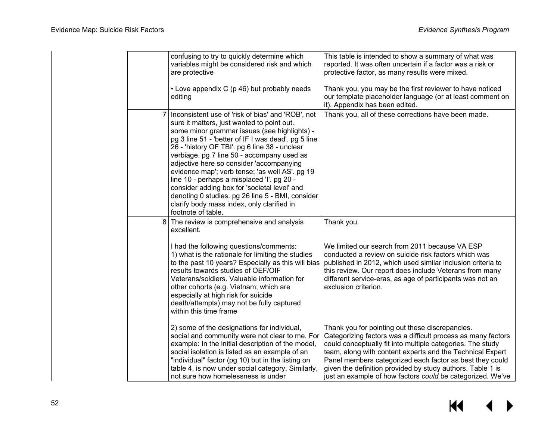|   | confusing to try to quickly determine which<br>variables might be considered risk and which<br>are protective                                                                                                                                                                                                                                                                                                                                                                                                                                                                                                             | This table is intended to show a summary of what was<br>reported. It was often uncertain if a factor was a risk or<br>protective factor, as many results were mixed.                                                                                                                                                                                                                                                               |
|---|---------------------------------------------------------------------------------------------------------------------------------------------------------------------------------------------------------------------------------------------------------------------------------------------------------------------------------------------------------------------------------------------------------------------------------------------------------------------------------------------------------------------------------------------------------------------------------------------------------------------------|------------------------------------------------------------------------------------------------------------------------------------------------------------------------------------------------------------------------------------------------------------------------------------------------------------------------------------------------------------------------------------------------------------------------------------|
|   | • Love appendix C (p 46) but probably needs<br>editing                                                                                                                                                                                                                                                                                                                                                                                                                                                                                                                                                                    | Thank you, you may be the first reviewer to have noticed<br>our template placeholder language (or at least comment on<br>it). Appendix has been edited.                                                                                                                                                                                                                                                                            |
| 7 | Inconsistent use of 'risk of bias' and 'ROB', not<br>sure it matters, just wanted to point out.<br>some minor grammar issues (see highlights) -<br>pg 3 line 51 - 'better of IF I was dead'. pg 5 line<br>26 - 'history OF TBI'. pg 6 line 38 - unclear<br>verbiage. pg 7 line 50 - accompany used as<br>adjective here so consider 'accompanying<br>evidence map'; verb tense; 'as well AS'. pg 19<br>line 10 - perhaps a misplaced 'l'. pg 20 -<br>consider adding box for 'societal level' and<br>denoting 0 studies. pg 26 line 5 - BMI, consider<br>clarify body mass index, only clarified in<br>footnote of table. | Thank you, all of these corrections have been made.                                                                                                                                                                                                                                                                                                                                                                                |
| 8 | The review is comprehensive and analysis<br>excellent.                                                                                                                                                                                                                                                                                                                                                                                                                                                                                                                                                                    | Thank you.                                                                                                                                                                                                                                                                                                                                                                                                                         |
|   | I had the following questions/comments:<br>1) what is the rationale for limiting the studies<br>to the past 10 years? Especially as this will bias<br>results towards studies of OEF/OIF<br>Veterans/soldiers. Valuable information for<br>other cohorts (e.g. Vietnam; which are<br>especially at high risk for suicide<br>death/attempts) may not be fully captured<br>within this time frame                                                                                                                                                                                                                           | We limited our search from 2011 because VA ESP<br>conducted a review on suicide risk factors which was<br>published in 2012, which used similar inclusion criteria to<br>this review. Our report does include Veterans from many<br>different service-eras, as age of participants was not an<br>exclusion criterion.                                                                                                              |
|   | 2) some of the designations for individual,<br>social and community were not clear to me. For<br>example: In the initial description of the model,<br>social isolation is listed as an example of an<br>"individual" factor (pg 10) but in the listing on<br>table 4, is now under social category. Similarly,<br>not sure how homelessness is under                                                                                                                                                                                                                                                                      | Thank you for pointing out these discrepancies.<br>Categorizing factors was a difficult process as many factors<br>could conceptually fit into multiple categories. The study<br>team, along with content experts and the Technical Expert<br>Panel members categorized each factor as best they could<br>given the definition provided by study authors. Table 1 is<br>just an example of how factors could be categorized. We've |

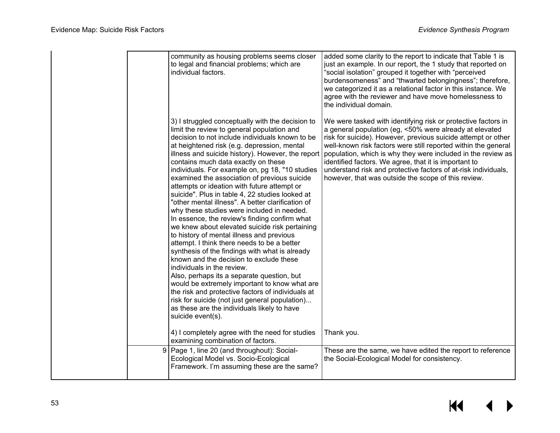|   | community as housing problems seems closer<br>to legal and financial problems; which are<br>individual factors.                                                                                                                                                                                                                                                                                                                                                                                                                                                                                                                                                                                                                                                                                                                                                                                                                                                                                                                                                                                                                                                                                          | added some clarity to the report to indicate that Table 1 is<br>just an example. In our report, the 1 study that reported on<br>"social isolation" grouped it together with "perceived<br>burdensomeness" and "thwarted belongingness"; therefore,<br>we categorized it as a relational factor in this instance. We<br>agree with the reviewer and have move homelessness to<br>the individual domain.                                                                                                        |
|---|----------------------------------------------------------------------------------------------------------------------------------------------------------------------------------------------------------------------------------------------------------------------------------------------------------------------------------------------------------------------------------------------------------------------------------------------------------------------------------------------------------------------------------------------------------------------------------------------------------------------------------------------------------------------------------------------------------------------------------------------------------------------------------------------------------------------------------------------------------------------------------------------------------------------------------------------------------------------------------------------------------------------------------------------------------------------------------------------------------------------------------------------------------------------------------------------------------|---------------------------------------------------------------------------------------------------------------------------------------------------------------------------------------------------------------------------------------------------------------------------------------------------------------------------------------------------------------------------------------------------------------------------------------------------------------------------------------------------------------|
|   | 3) I struggled conceptually with the decision to<br>limit the review to general population and<br>decision to not include individuals known to be<br>at heightened risk (e.g. depression, mental<br>illness and suicide history). However, the report<br>contains much data exactly on these<br>individuals. For example on, pg 18, "10 studies<br>examined the association of previous suicide<br>attempts or ideation with future attempt or<br>suicide". Plus in table 4, 22 studies looked at<br>"other mental illness". A better clarification of<br>why these studies were included in needed.<br>In essence, the review's finding confirm what<br>we knew about elevated suicide risk pertaining<br>to history of mental illness and previous<br>attempt. I think there needs to be a better<br>synthesis of the findings with what is already<br>known and the decision to exclude these<br>individuals in the review.<br>Also, perhaps its a separate question, but<br>would be extremely important to know what are<br>the risk and protective factors of individuals at<br>risk for suicide (not just general population)<br>as these are the individuals likely to have<br>suicide event(s). | We were tasked with identifying risk or protective factors in<br>a general population (eg, <50% were already at elevated<br>risk for suicide). However, previous suicide attempt or other<br>well-known risk factors were still reported within the general<br>population, which is why they were included in the review as<br>identified factors. We agree, that it is important to<br>understand risk and protective factors of at-risk individuals,<br>however, that was outside the scope of this review. |
|   | 4) I completely agree with the need for studies<br>examining combination of factors.                                                                                                                                                                                                                                                                                                                                                                                                                                                                                                                                                                                                                                                                                                                                                                                                                                                                                                                                                                                                                                                                                                                     | Thank you.                                                                                                                                                                                                                                                                                                                                                                                                                                                                                                    |
| 9 | Page 1, line 20 (and throughout): Social-<br>Ecological Model vs. Socio-Ecological<br>Framework. I'm assuming these are the same?                                                                                                                                                                                                                                                                                                                                                                                                                                                                                                                                                                                                                                                                                                                                                                                                                                                                                                                                                                                                                                                                        | These are the same, we have edited the report to reference<br>the Social-Ecological Model for consistency.                                                                                                                                                                                                                                                                                                                                                                                                    |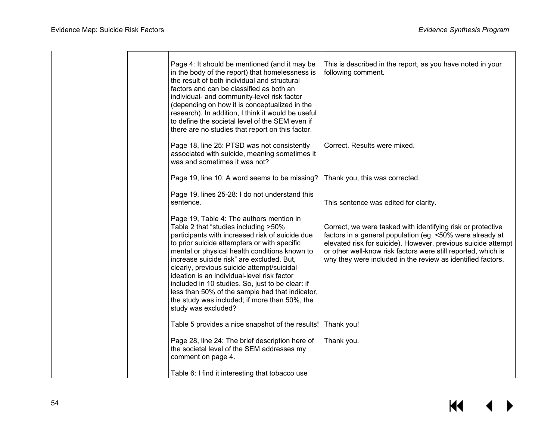|  | Page 4: It should be mentioned (and it may be<br>in the body of the report) that homelessness is<br>the result of both individual and structural<br>factors and can be classified as both an<br>individual- and community-level risk factor<br>(depending on how it is conceptualized in the<br>research). In addition, I think it would be useful<br>to define the societal level of the SEM even if<br>there are no studies that report on this factor.                                                                                                     | This is described in the report, as you have noted in your<br>following comment.                                                                                                                                                                                                                                          |
|--|---------------------------------------------------------------------------------------------------------------------------------------------------------------------------------------------------------------------------------------------------------------------------------------------------------------------------------------------------------------------------------------------------------------------------------------------------------------------------------------------------------------------------------------------------------------|---------------------------------------------------------------------------------------------------------------------------------------------------------------------------------------------------------------------------------------------------------------------------------------------------------------------------|
|  | Page 18, line 25: PTSD was not consistently<br>associated with suicide, meaning sometimes it<br>was and sometimes it was not?                                                                                                                                                                                                                                                                                                                                                                                                                                 | Correct. Results were mixed.                                                                                                                                                                                                                                                                                              |
|  | Page 19, line 10: A word seems to be missing?                                                                                                                                                                                                                                                                                                                                                                                                                                                                                                                 | Thank you, this was corrected.                                                                                                                                                                                                                                                                                            |
|  | Page 19, lines 25-28: I do not understand this<br>sentence.                                                                                                                                                                                                                                                                                                                                                                                                                                                                                                   | This sentence was edited for clarity.                                                                                                                                                                                                                                                                                     |
|  | Page 19, Table 4: The authors mention in<br>Table 2 that "studies including >50%<br>participants with increased risk of suicide due<br>to prior suicide attempters or with specific<br>mental or physical health conditions known to<br>increase suicide risk" are excluded. But,<br>clearly, previous suicide attempt/suicidal<br>ideation is an individual-level risk factor<br>included in 10 studies. So, just to be clear: if<br>less than 50% of the sample had that indicator,<br>the study was included; if more than 50%, the<br>study was excluded? | Correct, we were tasked with identifying risk or protective<br>factors in a general population (eg, <50% were already at<br>elevated risk for suicide). However, previous suicide attempt<br>or other well-know risk factors were still reported, which is<br>why they were included in the review as identified factors. |
|  | Table 5 provides a nice snapshot of the results!                                                                                                                                                                                                                                                                                                                                                                                                                                                                                                              | Thank you!                                                                                                                                                                                                                                                                                                                |
|  | Page 28, line 24: The brief description here of<br>the societal level of the SEM addresses my<br>comment on page 4.                                                                                                                                                                                                                                                                                                                                                                                                                                           | Thank you.                                                                                                                                                                                                                                                                                                                |
|  | Table 6: I find it interesting that tobacco use                                                                                                                                                                                                                                                                                                                                                                                                                                                                                                               |                                                                                                                                                                                                                                                                                                                           |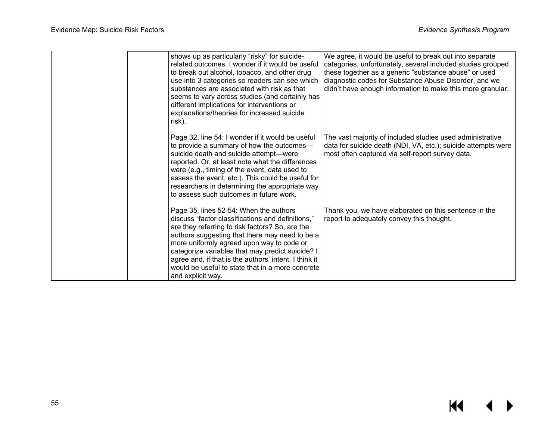| shows up as particularly "risky" for suicide-<br>related outcomes. I wonder if it would be useful<br>to break out alcohol, tobacco, and other drug<br>use into 3 categories so readers can see which<br>substances are associated with risk as that<br>seems to vary across studies (and certainly has<br>different implications for interventions or<br>explanations/theories for increased suicide<br>risk).                      | We agree, it would be useful to break out into separate<br>categories, unfortunately, several included studies grouped<br>these together as a generic "substance abuse" or used<br>diagnostic codes for Substance Abuse Disorder, and we<br>didn't have enough information to make this more granular. |
|-------------------------------------------------------------------------------------------------------------------------------------------------------------------------------------------------------------------------------------------------------------------------------------------------------------------------------------------------------------------------------------------------------------------------------------|--------------------------------------------------------------------------------------------------------------------------------------------------------------------------------------------------------------------------------------------------------------------------------------------------------|
| Page 32, line 54: I wonder if it would be useful<br>to provide a summary of how the outcomes-<br>suicide death and suicide attempt-were<br>reported. Or, at least note what the differences<br>were (e.g., timing of the event, data used to<br>assess the event, etc.). This could be useful for<br>researchers in determining the appropriate way<br>to assess such outcomes in future work.                                      | The vast majority of included studies used administrative<br>data for suicide death (NDI, VA, etc.); suicide attempts were<br>most often captured via self-report survey data.                                                                                                                         |
| Page 35, lines 52-54: When the authors<br>discuss "factor classifications and definitions,"<br>are they referring to risk factors? So, are the<br>authors suggesting that there may need to be a<br>more uniformly agreed upon way to code or<br>categorize variables that may predict suicide? I<br>agree and, if that is the authors' intent, I think it<br>would be useful to state that in a more concrete<br>and explicit way. | Thank you, we have elaborated on this sentence in the<br>report to adequately convey this thought.                                                                                                                                                                                                     |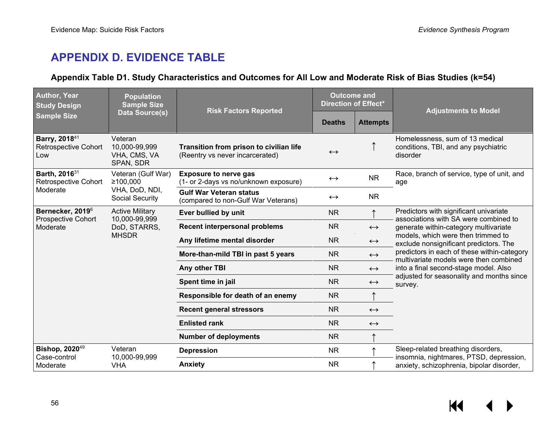## **APPENDIX D. EVIDENCE TABLE**

#### **Appendix Table D1. Study Characteristics and Outcomes for All Low and Moderate Risk of Bias Studies (k=54)**

| <b>Author, Year</b><br><b>Study Design</b>                      | <b>Population</b><br><b>Sample Size</b>                                 | <b>Risk Factors Reported</b>                                               | <b>Outcome and</b><br><b>Direction of Effect*</b> |                   | <b>Adjustments to Model</b>                                                           |
|-----------------------------------------------------------------|-------------------------------------------------------------------------|----------------------------------------------------------------------------|---------------------------------------------------|-------------------|---------------------------------------------------------------------------------------|
| <b>Sample Size</b>                                              | Data Source(s)                                                          |                                                                            | <b>Deaths</b>                                     | <b>Attempts</b>   |                                                                                       |
| Barry, 2018 <sup>41</sup><br><b>Retrospective Cohort</b><br>Low | Veteran<br>10,000-99,999<br>VHA, CMS, VA<br>SPAN, SDR                   | Transition from prison to civilian life<br>(Reentry vs never incarcerated) | $\leftrightarrow$                                 |                   | Homelessness, sum of 13 medical<br>conditions, TBI, and any psychiatric<br>disorder   |
| Barth, 2016 <sup>31</sup><br><b>Retrospective Cohort</b>        | Veteran (Gulf War)<br>≥100,000                                          | <b>Exposure to nerve gas</b><br>(1- or 2-days vs no/unknown exposure)      | $\leftrightarrow$                                 | <b>NR</b>         | Race, branch of service, type of unit, and<br>age                                     |
| Moderate                                                        | VHA, DoD, NDI,<br>Social Security                                       | <b>Gulf War Veteran status</b><br>(compared to non-Gulf War Veterans)      | $\leftrightarrow$                                 | <b>NR</b>         |                                                                                       |
| Bernecker, 2019 <sup>6</sup><br><b>Prospective Cohort</b>       | <b>Active Military</b><br>10,000-99,999<br>DoD, STARRS,<br><b>MHSDR</b> | Ever bullied by unit                                                       | <b>NR</b>                                         |                   | Predictors with significant univariate<br>associations with SA were combined to       |
| Moderate                                                        |                                                                         | <b>Recent interpersonal problems</b>                                       | <b>NR</b>                                         | $\leftrightarrow$ | generate within-category multivariate                                                 |
|                                                                 |                                                                         | Any lifetime mental disorder                                               | <b>NR</b>                                         | $\leftrightarrow$ | models, which were then trimmed to<br>exclude nonsignificant predictors. The          |
|                                                                 |                                                                         | More-than-mild TBI in past 5 years                                         | <b>NR</b>                                         | $\leftrightarrow$ | predictors in each of these within-category<br>multivariate models were then combined |
|                                                                 |                                                                         | Any other TBI                                                              | <b>NR</b>                                         | $\leftrightarrow$ | into a final second-stage model. Also                                                 |
|                                                                 |                                                                         | Spent time in jail                                                         | <b>NR</b>                                         | $\leftrightarrow$ | adjusted for seasonality and months since<br>survey.                                  |
|                                                                 |                                                                         | Responsible for death of an enemy                                          | <b>NR</b>                                         |                   |                                                                                       |
|                                                                 |                                                                         | <b>Recent general stressors</b>                                            | <b>NR</b>                                         | $\leftrightarrow$ |                                                                                       |
|                                                                 |                                                                         | <b>Enlisted rank</b>                                                       | <b>NR</b>                                         | $\leftrightarrow$ |                                                                                       |
|                                                                 |                                                                         | <b>Number of deployments</b>                                               | <b>NR</b>                                         |                   |                                                                                       |
| <b>Bishop, 2020</b> <sup>49</sup>                               | Veteran                                                                 | <b>Depression</b>                                                          | <b>NR</b>                                         |                   | Sleep-related breathing disorders,                                                    |
| Case-control<br>Moderate                                        | 10,000-99,999<br>VHA                                                    | <b>Anxiety</b>                                                             | <b>NR</b>                                         |                   | insomnia, nightmares, PTSD, depression,<br>anxiety, schizophrenia, bipolar disorder,  |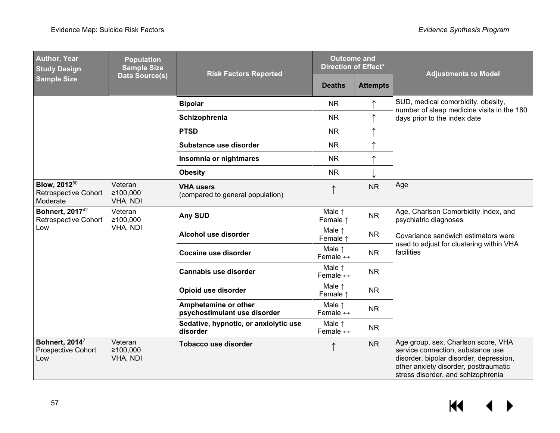| <b>Author, Year</b><br><b>Study Design</b>              | <b>Population</b><br><b>Sample Size</b><br>Data Source(s) | <b>Risk Factors Reported</b>                         | <b>Outcome and</b><br><b>Direction of Effect*</b> |                 | <b>Adjustments to Model</b>                                                                                                                                                                        |
|---------------------------------------------------------|-----------------------------------------------------------|------------------------------------------------------|---------------------------------------------------|-----------------|----------------------------------------------------------------------------------------------------------------------------------------------------------------------------------------------------|
| <b>Sample Size</b>                                      |                                                           |                                                      | <b>Deaths</b>                                     | <b>Attempts</b> |                                                                                                                                                                                                    |
|                                                         |                                                           | <b>Bipolar</b>                                       | <b>NR</b>                                         |                 | SUD, medical comorbidity, obesity,<br>number of sleep medicine visits in the 180                                                                                                                   |
|                                                         |                                                           | Schizophrenia                                        | <b>NR</b>                                         |                 | days prior to the index date                                                                                                                                                                       |
|                                                         |                                                           | <b>PTSD</b>                                          | <b>NR</b>                                         |                 |                                                                                                                                                                                                    |
|                                                         |                                                           | Substance use disorder                               | <b>NR</b>                                         |                 |                                                                                                                                                                                                    |
|                                                         |                                                           | Insomnia or nightmares                               | NR                                                |                 |                                                                                                                                                                                                    |
|                                                         |                                                           | <b>Obesity</b>                                       | <b>NR</b>                                         |                 |                                                                                                                                                                                                    |
| Blow, 201250<br><b>Retrospective Cohort</b><br>Moderate | Veteran<br>≥100,000<br>VHA, NDI                           | <b>VHA users</b><br>(compared to general population) | ᠰ                                                 | <b>NR</b>       | Age                                                                                                                                                                                                |
| <b>Bohnert, 201742</b><br>Retrospective Cohort          | Veteran<br>≥100,000<br>VHA, NDI                           | Any SUD                                              | Male 1<br>Female 1                                | <b>NR</b>       | Age, Charlson Comorbidity Index, and<br>psychiatric diagnoses                                                                                                                                      |
| Low                                                     |                                                           | Alcohol use disorder                                 | Male $\uparrow$<br>Female 1                       | <b>NR</b>       | Covariance sandwich estimators were                                                                                                                                                                |
|                                                         |                                                           | Cocaine use disorder                                 | Male $\uparrow$<br>Female $\leftrightarrow$       | <b>NR</b>       | used to adjust for clustering within VHA<br>facilities                                                                                                                                             |
|                                                         |                                                           | <b>Cannabis use disorder</b>                         | Male $\uparrow$<br>Female $\leftrightarrow$       | <b>NR</b>       |                                                                                                                                                                                                    |
|                                                         |                                                           | Opioid use disorder                                  | Male 1<br>Female 1                                | <b>NR</b>       |                                                                                                                                                                                                    |
|                                                         |                                                           | Amphetamine or other<br>psychostimulant use disorder | Male $\uparrow$<br>Female $\leftrightarrow$       | <b>NR</b>       |                                                                                                                                                                                                    |
|                                                         |                                                           | Sedative, hypnotic, or anxiolytic use<br>disorder    | Male $\uparrow$<br>Female $\leftrightarrow$       | <b>NR</b>       |                                                                                                                                                                                                    |
| Bohnert, 20147<br>Prospective Cohort<br>Low             | Veteran<br>≥100,000<br>VHA, NDI                           | <b>Tobacco use disorder</b>                          | ↑                                                 | <b>NR</b>       | Age group, sex, Charlson score, VHA<br>service connection, substance use<br>disorder, bipolar disorder, depression,<br>other anxiety disorder, posttraumatic<br>stress disorder, and schizophrenia |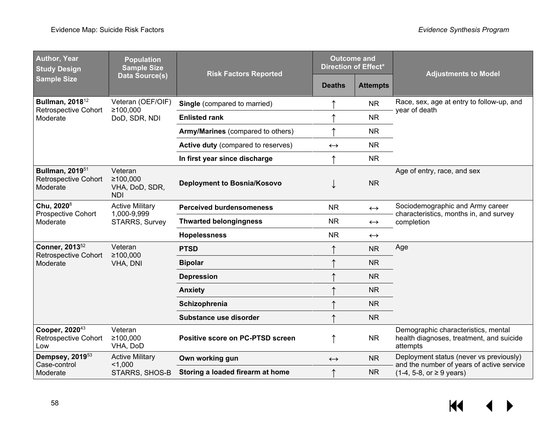| <b>Author, Year</b><br><b>Study Design</b>                                    | <b>Population</b><br><b>Sample Size</b>                 | <b>Risk Factors Reported</b>              | <b>Outcome and</b><br><b>Direction of Effect*</b> |                   | <b>Adjustments to Model</b>                                                                 |
|-------------------------------------------------------------------------------|---------------------------------------------------------|-------------------------------------------|---------------------------------------------------|-------------------|---------------------------------------------------------------------------------------------|
| <b>Sample Size</b>                                                            | Data Source(s)                                          |                                           | <b>Deaths</b>                                     | <b>Attempts</b>   |                                                                                             |
| <b>Bullman, 2018</b> 12<br>Retrospective Cohort                               | Veteran (OEF/OIF)<br>≥100,000                           | Single (compared to married)              |                                                   | <b>NR</b>         | Race, sex, age at entry to follow-up, and<br>year of death                                  |
| Moderate                                                                      | DoD, SDR, NDI                                           | <b>Enlisted rank</b>                      | ↑                                                 | <b>NR</b>         |                                                                                             |
|                                                                               |                                                         | Army/Marines (compared to others)         | ↑                                                 | <b>NR</b>         |                                                                                             |
|                                                                               |                                                         | <b>Active duty (compared to reserves)</b> | $\leftrightarrow$                                 | <b>NR</b>         |                                                                                             |
|                                                                               |                                                         | In first year since discharge             | ↑                                                 | <b>NR</b>         |                                                                                             |
| <b>Bullman, 2019</b> <sup>51</sup><br><b>Retrospective Cohort</b><br>Moderate | Veteran<br>≥100,000<br>VHA, DoD, SDR,<br><b>NDI</b>     | Deployment to Bosnia/Kosovo               |                                                   | <b>NR</b>         | Age of entry, race, and sex                                                                 |
| Chu, 20208<br>Prospective Cohort                                              | <b>Active Military</b><br>1,000-9,999<br>STARRS, Survey | <b>Perceived burdensomeness</b>           | <b>NR</b>                                         | $\leftrightarrow$ | Sociodemographic and Army career<br>characteristics, months in, and survey                  |
| Moderate                                                                      |                                                         | <b>Thwarted belongingness</b>             | <b>NR</b>                                         | $\leftrightarrow$ | completion                                                                                  |
|                                                                               |                                                         | <b>Hopelessness</b>                       | <b>NR</b>                                         | $\leftrightarrow$ |                                                                                             |
| Conner, 2013 <sup>52</sup><br><b>Retrospective Cohort</b>                     | Veteran<br>≥100,000<br>VHA, DNI                         | <b>PTSD</b>                               | ᠰ                                                 | <b>NR</b>         | Age                                                                                         |
| Moderate                                                                      |                                                         | <b>Bipolar</b>                            |                                                   | <b>NR</b>         |                                                                                             |
|                                                                               |                                                         | <b>Depression</b>                         |                                                   | <b>NR</b>         |                                                                                             |
|                                                                               |                                                         | <b>Anxiety</b>                            | ↑                                                 | <b>NR</b>         |                                                                                             |
|                                                                               |                                                         | Schizophrenia                             |                                                   | <b>NR</b>         |                                                                                             |
|                                                                               |                                                         | Substance use disorder                    | ᠰ                                                 | <b>NR</b>         |                                                                                             |
| Cooper, 2020 <sup>43</sup><br><b>Retrospective Cohort</b><br>Low              | Veteran<br>≥100,000<br>VHA, DoD                         | <b>Positive score on PC-PTSD screen</b>   | ↑                                                 | <b>NR</b>         | Demographic characteristics, mental<br>health diagnoses, treatment, and suicide<br>attempts |
| Dempsey, 2019 <sup>53</sup><br>Case-control                                   | <b>Active Military</b><br>1,000                         | Own working gun                           | $\leftrightarrow$                                 | <b>NR</b>         | Deployment status (never vs previously)<br>and the number of years of active service        |
| Moderate                                                                      | STARRS, SHOS-B                                          | Storing a loaded firearm at home          |                                                   | <b>NR</b>         | $(1-4, 5-8, or \ge 9$ years)                                                                |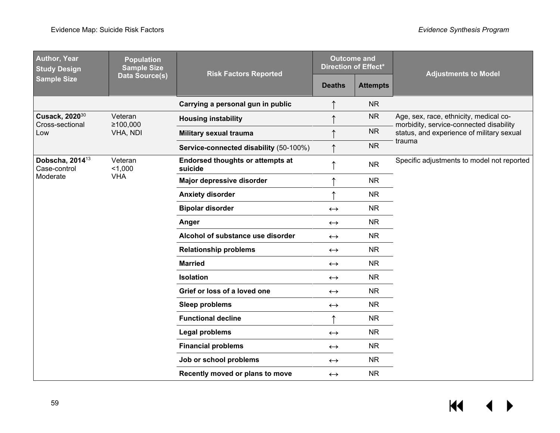| <b>Author, Year</b><br><b>Study Design</b>    | <b>Population</b><br><b>Sample Size</b> | <b>Risk Factors Reported</b>                       | <b>Outcome and</b><br><b>Direction of Effect*</b> |                 | <b>Adjustments to Model</b>                                                       |
|-----------------------------------------------|-----------------------------------------|----------------------------------------------------|---------------------------------------------------|-----------------|-----------------------------------------------------------------------------------|
| <b>Sample Size</b>                            | Data Source(s)                          |                                                    | <b>Deaths</b>                                     | <b>Attempts</b> |                                                                                   |
|                                               |                                         | Carrying a personal gun in public                  |                                                   | <b>NR</b>       |                                                                                   |
| Cusack, 2020 <sup>30</sup><br>Cross-sectional | Veteran<br>≥100,000                     | <b>Housing instability</b>                         |                                                   | <b>NR</b>       | Age, sex, race, ethnicity, medical co-<br>morbidity, service-connected disability |
| Low                                           | VHA, NDI                                | Military sexual trauma                             |                                                   | <b>NR</b>       | status, and experience of military sexual                                         |
|                                               |                                         | Service-connected disability (50-100%)             |                                                   | <b>NR</b>       | trauma                                                                            |
| Dobscha, 2014 <sup>13</sup><br>Case-control   | Veteran<br>1,000                        | <b>Endorsed thoughts or attempts at</b><br>suicide |                                                   | <b>NR</b>       | Specific adjustments to model not reported                                        |
| Moderate                                      | <b>VHA</b>                              | Major depressive disorder                          |                                                   | <b>NR</b>       |                                                                                   |
|                                               |                                         | <b>Anxiety disorder</b>                            | ∧                                                 | <b>NR</b>       |                                                                                   |
|                                               |                                         | <b>Bipolar disorder</b>                            | $\leftrightarrow$                                 | <b>NR</b>       |                                                                                   |
|                                               |                                         | Anger                                              | $\leftrightarrow$                                 | <b>NR</b>       |                                                                                   |
|                                               |                                         | Alcohol of substance use disorder                  | $\leftrightarrow$                                 | <b>NR</b>       |                                                                                   |
|                                               |                                         | <b>Relationship problems</b>                       | $\leftrightarrow$                                 | <b>NR</b>       |                                                                                   |
|                                               |                                         | <b>Married</b>                                     | $\leftrightarrow$                                 | <b>NR</b>       |                                                                                   |
|                                               |                                         | <b>Isolation</b>                                   | $\leftrightarrow$                                 | <b>NR</b>       |                                                                                   |
|                                               |                                         | Grief or loss of a loved one                       | $\leftrightarrow$                                 | <b>NR</b>       |                                                                                   |
|                                               |                                         | <b>Sleep problems</b>                              | $\leftrightarrow$                                 | <b>NR</b>       |                                                                                   |
|                                               |                                         | <b>Functional decline</b>                          | $\uparrow$                                        | <b>NR</b>       |                                                                                   |
|                                               |                                         | Legal problems                                     | $\leftrightarrow$                                 | <b>NR</b>       |                                                                                   |
|                                               |                                         | <b>Financial problems</b>                          | $\leftrightarrow$                                 | <b>NR</b>       |                                                                                   |
|                                               |                                         | Job or school problems                             | $\leftrightarrow$                                 | <b>NR</b>       |                                                                                   |
|                                               |                                         | Recently moved or plans to move                    | $\leftrightarrow$                                 | <b>NR</b>       |                                                                                   |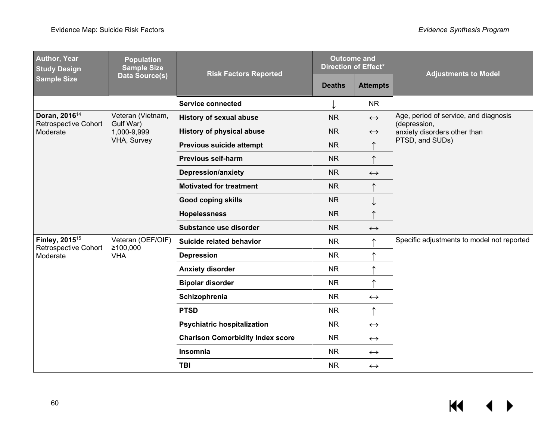| <b>Author, Year</b><br><b>Study Design</b>               | <b>Population</b><br><b>Sample Size</b> | <b>Risk Factors Reported</b>            | <b>Outcome and</b><br><b>Direction of Effect*</b> |                   | <b>Adjustments to Model</b>                           |
|----------------------------------------------------------|-----------------------------------------|-----------------------------------------|---------------------------------------------------|-------------------|-------------------------------------------------------|
| <b>Sample Size</b>                                       | Data Source(s)                          |                                         | <b>Deaths</b>                                     | <b>Attempts</b>   |                                                       |
|                                                          |                                         | <b>Service connected</b>                |                                                   | <b>NR</b>         |                                                       |
| Doran, 2016 <sup>14</sup><br><b>Retrospective Cohort</b> | Veteran (Vietnam,<br>Gulf War)          | <b>History of sexual abuse</b>          | <b>NR</b>                                         | $\leftrightarrow$ | Age, period of service, and diagnosis<br>(depression, |
| Moderate                                                 | 1,000-9,999                             | History of physical abuse               | <b>NR</b>                                         | $\leftrightarrow$ | anxiety disorders other than                          |
|                                                          | VHA, Survey                             | <b>Previous suicide attempt</b>         | <b>NR</b>                                         |                   | PTSD, and SUDs)                                       |
|                                                          |                                         | <b>Previous self-harm</b>               | <b>NR</b>                                         |                   |                                                       |
|                                                          |                                         | <b>Depression/anxiety</b>               | <b>NR</b>                                         | $\leftrightarrow$ |                                                       |
|                                                          |                                         | <b>Motivated for treatment</b>          | <b>NR</b>                                         |                   |                                                       |
|                                                          |                                         | <b>Good coping skills</b>               | <b>NR</b>                                         |                   |                                                       |
|                                                          |                                         | <b>Hopelessness</b>                     | <b>NR</b>                                         |                   |                                                       |
|                                                          |                                         | Substance use disorder                  | <b>NR</b>                                         | $\leftrightarrow$ |                                                       |
| Finley, 2015 <sup>15</sup><br>Retrospective Cohort       | Veteran (OEF/OIF)<br>≥100,000           | Suicide related behavior                | <b>NR</b>                                         |                   | Specific adjustments to model not reported            |
| Moderate                                                 | <b>VHA</b>                              | <b>Depression</b>                       | <b>NR</b>                                         |                   |                                                       |
|                                                          |                                         | <b>Anxiety disorder</b>                 | <b>NR</b>                                         |                   |                                                       |
|                                                          |                                         | <b>Bipolar disorder</b>                 | <b>NR</b>                                         |                   |                                                       |
|                                                          |                                         | Schizophrenia                           | <b>NR</b>                                         | $\leftrightarrow$ |                                                       |
|                                                          |                                         | <b>PTSD</b>                             | <b>NR</b>                                         |                   |                                                       |
|                                                          |                                         | <b>Psychiatric hospitalization</b>      | <b>NR</b>                                         | $\leftrightarrow$ |                                                       |
|                                                          |                                         | <b>Charlson Comorbidity Index score</b> | <b>NR</b>                                         | $\leftrightarrow$ |                                                       |
|                                                          |                                         | Insomnia                                | <b>NR</b>                                         | $\leftrightarrow$ |                                                       |
|                                                          |                                         | <b>TBI</b>                              | <b>NR</b>                                         | $\leftrightarrow$ |                                                       |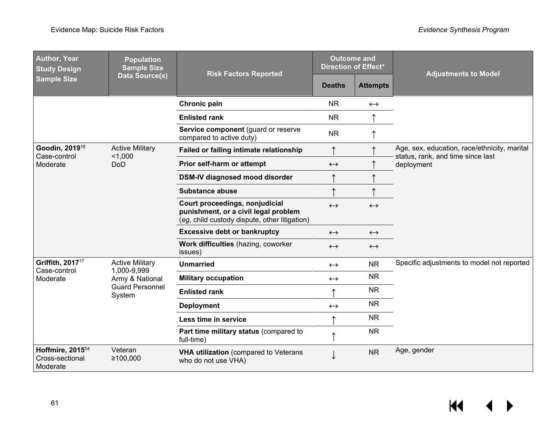| <b>Author, Year</b><br><b>Study Design</b>                  | <b>Population</b><br><b>Sample Size</b><br>Data Source(s) | <b>Risk Factors Reported</b>                                                                                            | <b>Outcome and</b><br><b>Direction of Effect*</b> |                   | <b>Adjustments to Model</b>                                                       |
|-------------------------------------------------------------|-----------------------------------------------------------|-------------------------------------------------------------------------------------------------------------------------|---------------------------------------------------|-------------------|-----------------------------------------------------------------------------------|
| <b>Sample Size</b>                                          |                                                           |                                                                                                                         | <b>Deaths</b>                                     | <b>Attempts</b>   |                                                                                   |
|                                                             |                                                           | Chronic pain                                                                                                            | <b>NR</b>                                         | $\leftrightarrow$ |                                                                                   |
|                                                             |                                                           | <b>Enlisted rank</b>                                                                                                    | <b>NR</b>                                         |                   |                                                                                   |
|                                                             |                                                           | Service component (guard or reserve<br>compared to active duty)                                                         | <b>NR</b>                                         |                   |                                                                                   |
| Goodin, 2019 <sup>16</sup><br>Case-control                  | <b>Active Military</b><br>< 1,000                         | Failed or failing intimate relationship                                                                                 | ↑                                                 |                   | Age, sex, education, race/ethnicity, marital<br>status, rank, and time since last |
| Moderate                                                    | <b>DoD</b>                                                | Prior self-harm or attempt                                                                                              | $\leftrightarrow$                                 |                   | deployment                                                                        |
|                                                             |                                                           | DSM-IV diagnosed mood disorder                                                                                          |                                                   |                   |                                                                                   |
|                                                             |                                                           | <b>Substance abuse</b>                                                                                                  | ᠰ                                                 |                   |                                                                                   |
|                                                             |                                                           | Court proceedings, nonjudicial<br>punishment, or a civil legal problem<br>(eg, child custody dispute, other litigation) | $\leftrightarrow$                                 | $\leftrightarrow$ |                                                                                   |
|                                                             |                                                           | <b>Excessive debt or bankruptcy</b>                                                                                     | $\leftrightarrow$                                 | $\leftrightarrow$ |                                                                                   |
|                                                             |                                                           | Work difficulties (hazing, coworker<br>issues)                                                                          | $\leftrightarrow$                                 | $\leftrightarrow$ |                                                                                   |
| Griffith, 2017 <sup>17</sup><br>Case-control                | <b>Active Military</b><br>1,000-9,999                     | <b>Unmarried</b>                                                                                                        | $\leftrightarrow$                                 | <b>NR</b>         | Specific adjustments to model not reported                                        |
| Moderate                                                    | Army & National                                           | <b>Military occupation</b>                                                                                              | $\leftrightarrow$                                 | <b>NR</b>         |                                                                                   |
|                                                             | <b>Guard Personnel</b><br>System                          | <b>Enlisted rank</b>                                                                                                    |                                                   | <b>NR</b>         |                                                                                   |
|                                                             |                                                           | <b>Deployment</b>                                                                                                       | $\leftrightarrow$                                 | <b>NR</b>         |                                                                                   |
|                                                             |                                                           | Less time in service                                                                                                    |                                                   | <b>NR</b>         |                                                                                   |
|                                                             |                                                           | Part time military status (compared to<br>full-time)                                                                    |                                                   | <b>NR</b>         |                                                                                   |
| Hoffmire, 2015 <sup>54</sup><br>Cross-sectional<br>Moderate | Veteran<br>≥100,000                                       | <b>VHA utilization</b> (compared to Veterans<br>who do not use VHA)                                                     |                                                   | <b>NR</b>         | Age, gender                                                                       |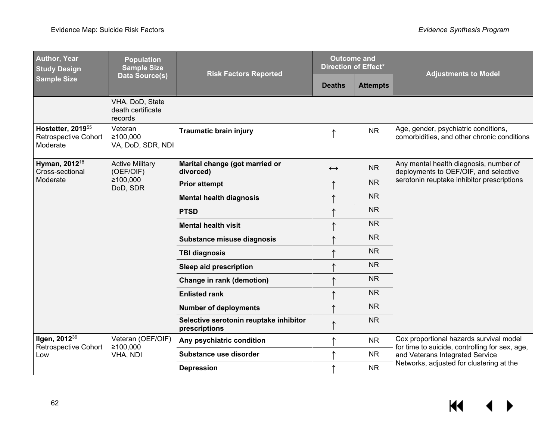| <b>Author, Year</b><br><b>Study Design</b>                    | <b>Population</b><br><b>Sample Size</b><br>Data Source(s) | <b>Risk Factors Reported</b>                            | <b>Outcome and</b><br><b>Direction of Effect*</b> |                 | <b>Adjustments to Model</b>                                                               |  |           |                                          |
|---------------------------------------------------------------|-----------------------------------------------------------|---------------------------------------------------------|---------------------------------------------------|-----------------|-------------------------------------------------------------------------------------------|--|-----------|------------------------------------------|
| <b>Sample Size</b>                                            |                                                           |                                                         | <b>Deaths</b>                                     | <b>Attempts</b> |                                                                                           |  |           |                                          |
|                                                               | VHA, DoD, State<br>death certificate<br>records           |                                                         |                                                   |                 |                                                                                           |  |           |                                          |
| <b>Hostetter, 2019</b> 55<br>Retrospective Cohort<br>Moderate | Veteran<br>≥100,000<br>VA, DoD, SDR, NDI                  | <b>Traumatic brain injury</b>                           |                                                   | <b>NR</b>       | Age, gender, psychiatric conditions,<br>comorbidities, and other chronic conditions       |  |           |                                          |
| Hyman, 2012 <sup>18</sup><br>Cross-sectional                  | <b>Active Military</b><br>(OEF/OIF)                       | Marital change (got married or<br>divorced)             | $\leftrightarrow$                                 | <b>NR</b>       | Any mental health diagnosis, number of<br>deployments to OEF/OIF, and selective           |  |           |                                          |
| Moderate                                                      | ≥100,000<br>DoD, SDR                                      | <b>Prior attempt</b>                                    |                                                   | <b>NR</b>       | serotonin reuptake inhibitor prescriptions                                                |  |           |                                          |
|                                                               |                                                           | <b>Mental health diagnosis</b>                          |                                                   | <b>NR</b>       |                                                                                           |  |           |                                          |
|                                                               |                                                           | <b>PTSD</b>                                             |                                                   | <b>NR</b>       |                                                                                           |  |           |                                          |
|                                                               |                                                           | <b>Mental health visit</b>                              |                                                   | <b>NR</b>       |                                                                                           |  |           |                                          |
|                                                               |                                                           | Substance misuse diagnosis                              |                                                   | <b>NR</b>       |                                                                                           |  |           |                                          |
|                                                               |                                                           | <b>TBI diagnosis</b>                                    |                                                   | <b>NR</b>       |                                                                                           |  |           |                                          |
|                                                               |                                                           | Sleep aid prescription                                  |                                                   | <b>NR</b>       |                                                                                           |  |           |                                          |
|                                                               |                                                           | Change in rank (demotion)                               |                                                   | <b>NR</b>       |                                                                                           |  |           |                                          |
|                                                               |                                                           | <b>Enlisted rank</b>                                    |                                                   | <b>NR</b>       |                                                                                           |  |           |                                          |
|                                                               |                                                           | <b>Number of deployments</b>                            |                                                   | <b>NR</b>       |                                                                                           |  |           |                                          |
|                                                               |                                                           | Selective serotonin reuptake inhibitor<br>prescriptions |                                                   | <b>NR</b>       |                                                                                           |  |           |                                          |
| Ilgen, 2012 <sup>36</sup><br><b>Retrospective Cohort</b>      | Veteran (OEF/OIF)<br>≥100,000                             | Any psychiatric condition                               |                                                   | <b>NR</b>       | Cox proportional hazards survival model<br>for time to suicide, controlling for sex, age, |  |           |                                          |
| Low                                                           | VHA, NDI                                                  | Substance use disorder                                  |                                                   | <b>NR</b>       | and Veterans Integrated Service                                                           |  |           |                                          |
|                                                               |                                                           |                                                         |                                                   |                 | <b>Depression</b>                                                                         |  | <b>NR</b> | Networks, adjusted for clustering at the |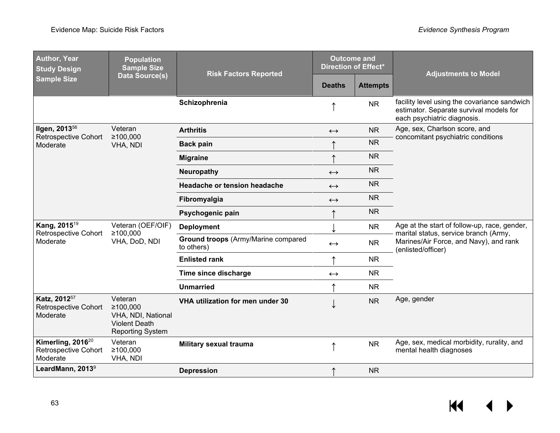| <b>Author, Year</b><br><b>Study Design</b>                          | <b>Population</b><br><b>Sample Size</b><br>Data Source(s)                                    | <b>Risk Factors Reported</b>                             | <b>Outcome and</b><br><b>Direction of Effect*</b> |                 | <b>Adjustments to Model</b>                                                                                            |
|---------------------------------------------------------------------|----------------------------------------------------------------------------------------------|----------------------------------------------------------|---------------------------------------------------|-----------------|------------------------------------------------------------------------------------------------------------------------|
| <b>Sample Size</b>                                                  |                                                                                              |                                                          | <b>Deaths</b>                                     | <b>Attempts</b> |                                                                                                                        |
|                                                                     |                                                                                              | Schizophrenia                                            |                                                   | <b>NR</b>       | facility level using the covariance sandwich<br>estimator. Separate survival models for<br>each psychiatric diagnosis. |
| Ilgen, 2013 <sup>56</sup><br><b>Retrospective Cohort</b>            | Veteran<br>≥100,000                                                                          | <b>Arthritis</b>                                         | $\leftrightarrow$                                 | <b>NR</b>       | Age, sex, Charlson score, and<br>concomitant psychiatric conditions                                                    |
| Moderate                                                            | VHA, NDI                                                                                     | <b>Back pain</b>                                         |                                                   | <b>NR</b>       |                                                                                                                        |
|                                                                     |                                                                                              | <b>Migraine</b>                                          |                                                   | <b>NR</b>       |                                                                                                                        |
|                                                                     |                                                                                              | Neuropathy                                               | $\leftrightarrow$                                 | <b>NR</b>       |                                                                                                                        |
|                                                                     |                                                                                              | <b>Headache or tension headache</b>                      | $\leftrightarrow$                                 | <b>NR</b>       |                                                                                                                        |
|                                                                     |                                                                                              | Fibromyalgia                                             | $\leftrightarrow$                                 | <b>NR</b>       |                                                                                                                        |
|                                                                     |                                                                                              | Psychogenic pain                                         |                                                   | <b>NR</b>       |                                                                                                                        |
| Kang, 2015 <sup>19</sup><br><b>Retrospective Cohort</b>             | Veteran (OEF/OIF)<br>≥100,000<br>VHA, DoD, NDI                                               | <b>Deployment</b>                                        |                                                   | <b>NR</b>       | Age at the start of follow-up, race, gender,<br>marital status, service branch (Army,                                  |
| Moderate                                                            |                                                                                              | <b>Ground troops (Army/Marine compared</b><br>to others) | $\leftrightarrow$                                 | <b>NR</b>       | Marines/Air Force, and Navy), and rank<br>(enlisted/officer)                                                           |
|                                                                     |                                                                                              | <b>Enlisted rank</b>                                     |                                                   | <b>NR</b>       |                                                                                                                        |
|                                                                     |                                                                                              | Time since discharge                                     | $\leftrightarrow$                                 | <b>NR</b>       |                                                                                                                        |
|                                                                     |                                                                                              | <b>Unmarried</b>                                         |                                                   | <b>NR</b>       |                                                                                                                        |
| Katz, 2012 <sup>57</sup><br><b>Retrospective Cohort</b><br>Moderate | Veteran<br>≥100,000<br>VHA, NDI, National<br><b>Violent Death</b><br><b>Reporting System</b> | VHA utilization for men under 30                         |                                                   | <b>NR</b>       | Age, gender                                                                                                            |
| Kimerling, 2016 <sup>20</sup><br>Retrospective Cohort<br>Moderate   | Veteran<br>≥100,000<br>VHA, NDI                                                              | Military sexual trauma                                   |                                                   | <b>NR</b>       | Age, sex, medical morbidity, rurality, and<br>mental health diagnoses                                                  |
| LeardMann, 2013 <sup>9</sup>                                        |                                                                                              | <b>Depression</b>                                        |                                                   | <b>NR</b>       |                                                                                                                        |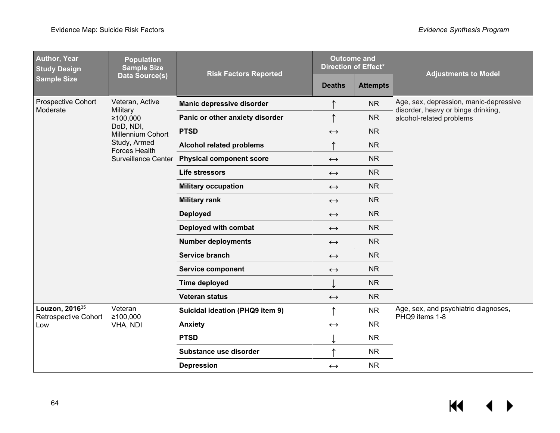| Author, Year<br><b>Study Design</b>                | <b>Population</b><br><b>Sample Size</b> | <b>Risk Factors Reported</b>    | <b>Outcome and</b><br><b>Direction of Effect*</b> |                 | <b>Adjustments to Model</b>                                                  |
|----------------------------------------------------|-----------------------------------------|---------------------------------|---------------------------------------------------|-----------------|------------------------------------------------------------------------------|
| <b>Sample Size</b>                                 | Data Source(s)                          |                                 | <b>Deaths</b>                                     | <b>Attempts</b> |                                                                              |
| <b>Prospective Cohort</b><br>Moderate              | Veteran, Active<br>Military             | Manic depressive disorder       |                                                   | <b>NR</b>       | Age, sex, depression, manic-depressive<br>disorder, heavy or binge drinking, |
|                                                    | ≥100,000                                | Panic or other anxiety disorder |                                                   | <b>NR</b>       | alcohol-related problems                                                     |
|                                                    | DoD, NDI,<br>Millennium Cohort          | <b>PTSD</b>                     | $\leftrightarrow$                                 | <b>NR</b>       |                                                                              |
|                                                    | Study, Armed<br><b>Forces Health</b>    | <b>Alcohol related problems</b> |                                                   | <b>NR</b>       |                                                                              |
|                                                    | <b>Surveillance Center</b>              | <b>Physical component score</b> | $\longleftrightarrow$                             | <b>NR</b>       |                                                                              |
|                                                    |                                         | <b>Life stressors</b>           | $\leftrightarrow$                                 | <b>NR</b>       |                                                                              |
|                                                    |                                         | <b>Military occupation</b>      | $\leftrightarrow$                                 | <b>NR</b>       |                                                                              |
|                                                    |                                         | <b>Military rank</b>            | $\leftrightarrow$                                 | <b>NR</b>       |                                                                              |
|                                                    |                                         | <b>Deployed</b>                 | $\leftrightarrow$                                 | <b>NR</b>       |                                                                              |
|                                                    |                                         | Deployed with combat            | $\leftrightarrow$                                 | <b>NR</b>       |                                                                              |
|                                                    |                                         | <b>Number deployments</b>       | $\leftrightarrow$                                 | <b>NR</b>       |                                                                              |
|                                                    |                                         | <b>Service branch</b>           | $\leftrightarrow$                                 | <b>NR</b>       |                                                                              |
|                                                    |                                         | <b>Service component</b>        | $\leftrightarrow$                                 | <b>NR</b>       |                                                                              |
|                                                    |                                         | <b>Time deployed</b>            |                                                   | <b>NR</b>       |                                                                              |
|                                                    |                                         | <b>Veteran status</b>           | $\leftrightarrow$                                 | <b>NR</b>       |                                                                              |
| Louzon, 2016 <sup>35</sup><br>Retrospective Cohort | Veteran<br>≥100,000                     | Suicidal ideation (PHQ9 item 9) |                                                   | <b>NR</b>       | Age, sex, and psychiatric diagnoses,<br>PHQ9 items 1-8                       |
| Low                                                | VHA, NDI                                | <b>Anxiety</b>                  | $\leftrightarrow$                                 | <b>NR</b>       |                                                                              |
|                                                    |                                         | <b>PTSD</b>                     |                                                   | <b>NR</b>       |                                                                              |
|                                                    |                                         | Substance use disorder          |                                                   | <b>NR</b>       |                                                                              |
|                                                    |                                         | <b>Depression</b>               | $\leftrightarrow$                                 | <b>NR</b>       |                                                                              |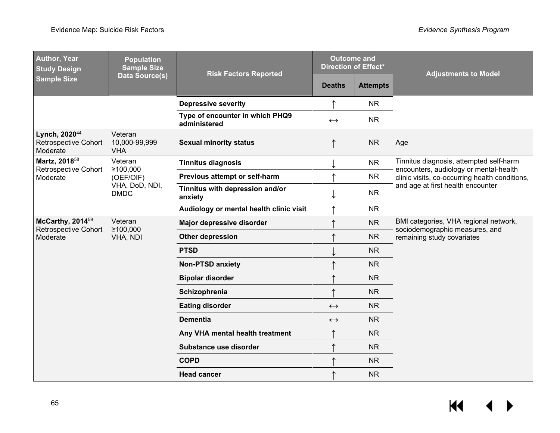| <b>Author, Year</b><br><b>Study Design</b>               | <b>Population</b><br><b>Sample Size</b><br>Data Source(s) | <b>Risk Factors Reported</b>                    | <b>Outcome and</b><br>Direction of Effect* |                 | <b>Adjustments to Model</b>                                                       |
|----------------------------------------------------------|-----------------------------------------------------------|-------------------------------------------------|--------------------------------------------|-----------------|-----------------------------------------------------------------------------------|
| <b>Sample Size</b>                                       |                                                           |                                                 | <b>Deaths</b>                              | <b>Attempts</b> |                                                                                   |
|                                                          |                                                           | <b>Depressive severity</b>                      |                                            | <b>NR</b>       |                                                                                   |
|                                                          |                                                           | Type of encounter in which PHQ9<br>administered | $\leftrightarrow$                          | <b>NR</b>       |                                                                                   |
| Lynch, 202044<br>Retrospective Cohort<br>Moderate        | Veteran<br>10,000-99,999<br><b>VHA</b>                    | <b>Sexual minority status</b>                   |                                            | <b>NR</b>       | Age                                                                               |
| Martz, 2018 <sup>58</sup><br><b>Retrospective Cohort</b> | Veteran<br>≥100,000                                       | <b>Tinnitus diagnosis</b>                       |                                            | <b>NR</b>       | Tinnitus diagnosis, attempted self-harm<br>encounters, audiology or mental-health |
| Moderate                                                 | (OEF/OIF)                                                 | Previous attempt or self-harm                   |                                            | <b>NR</b>       | clinic visits, co-occurring health conditions,                                    |
|                                                          | VHA, DoD, NDI,<br><b>DMDC</b>                             | Tinnitus with depression and/or<br>anxiety      |                                            | <b>NR</b>       | and age at first health encounter                                                 |
|                                                          |                                                           | Audiology or mental health clinic visit         |                                            | <b>NR</b>       |                                                                                   |
| McCarthy, 2014 <sup>59</sup><br>Retrospective Cohort     | Veteran<br>≥100,000<br>VHA, NDI                           | Major depressive disorder                       |                                            | <b>NR</b>       | BMI categories, VHA regional network,<br>sociodemographic measures, and           |
| Moderate                                                 |                                                           | Other depression                                |                                            | <b>NR</b>       | remaining study covariates                                                        |
|                                                          |                                                           | <b>PTSD</b>                                     |                                            | <b>NR</b>       |                                                                                   |
|                                                          |                                                           | <b>Non-PTSD anxiety</b>                         |                                            | <b>NR</b>       |                                                                                   |
|                                                          |                                                           | <b>Bipolar disorder</b>                         |                                            | <b>NR</b>       |                                                                                   |
|                                                          |                                                           | Schizophrenia                                   |                                            | <b>NR</b>       |                                                                                   |
|                                                          |                                                           | <b>Eating disorder</b>                          | $\leftrightarrow$                          | <b>NR</b>       |                                                                                   |
|                                                          |                                                           | <b>Dementia</b>                                 | $\leftrightarrow$                          | <b>NR</b>       |                                                                                   |
|                                                          |                                                           | Any VHA mental health treatment                 |                                            | <b>NR</b>       |                                                                                   |
|                                                          |                                                           | Substance use disorder                          |                                            | <b>NR</b>       |                                                                                   |
|                                                          |                                                           | <b>COPD</b>                                     |                                            | <b>NR</b>       |                                                                                   |
|                                                          |                                                           | <b>Head cancer</b>                              |                                            | <b>NR</b>       |                                                                                   |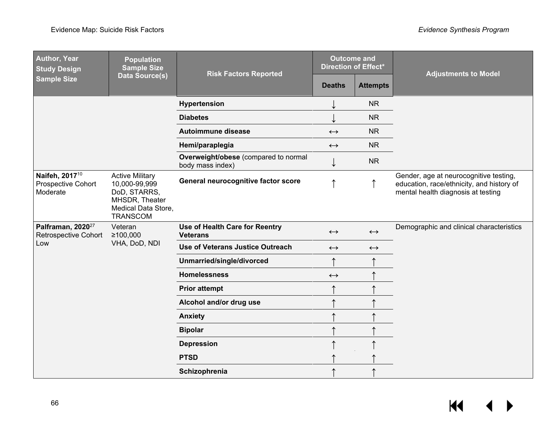| <b>Author, Year</b><br><b>Study Design</b>                   | <b>Population</b><br><b>Sample Size</b><br>Data Source(s)                                                           | <b>Risk Factors Reported</b>                             | <b>Outcome and</b><br>Direction of Effect* |                   | <b>Adjustments to Model</b>                                                                                               |
|--------------------------------------------------------------|---------------------------------------------------------------------------------------------------------------------|----------------------------------------------------------|--------------------------------------------|-------------------|---------------------------------------------------------------------------------------------------------------------------|
| <b>Sample Size</b>                                           |                                                                                                                     |                                                          | <b>Deaths</b>                              | <b>Attempts</b>   |                                                                                                                           |
|                                                              |                                                                                                                     | Hypertension                                             |                                            | <b>NR</b>         |                                                                                                                           |
|                                                              |                                                                                                                     | <b>Diabetes</b>                                          |                                            | <b>NR</b>         |                                                                                                                           |
|                                                              |                                                                                                                     | Autoimmune disease                                       | $\leftrightarrow$                          | <b>NR</b>         |                                                                                                                           |
|                                                              |                                                                                                                     | Hemi/paraplegia                                          | $\leftrightarrow$                          | <b>NR</b>         |                                                                                                                           |
|                                                              |                                                                                                                     | Overweight/obese (compared to normal<br>body mass index) |                                            | <b>NR</b>         |                                                                                                                           |
| Naifeh, 2017 <sup>10</sup><br>Prospective Cohort<br>Moderate | <b>Active Military</b><br>10,000-99,999<br>DoD, STARRS,<br>MHSDR, Theater<br>Medical Data Store,<br><b>TRANSCOM</b> | General neurocognitive factor score                      |                                            |                   | Gender, age at neurocognitive testing,<br>education, race/ethnicity, and history of<br>mental health diagnosis at testing |
| Palframan, 2020 <sup>27</sup><br>Retrospective Cohort        | Veteran<br>≥100,000                                                                                                 | Use of Health Care for Reentry<br><b>Veterans</b>        | $\leftrightarrow$                          | $\leftrightarrow$ | Demographic and clinical characteristics                                                                                  |
| Low                                                          | VHA, DoD, NDI                                                                                                       | <b>Use of Veterans Justice Outreach</b>                  | $\leftrightarrow$                          | $\leftrightarrow$ |                                                                                                                           |
|                                                              |                                                                                                                     | Unmarried/single/divorced                                |                                            |                   |                                                                                                                           |
|                                                              |                                                                                                                     | <b>Homelessness</b>                                      | $\leftrightarrow$                          |                   |                                                                                                                           |
|                                                              |                                                                                                                     | <b>Prior attempt</b>                                     |                                            |                   |                                                                                                                           |
|                                                              |                                                                                                                     | Alcohol and/or drug use                                  |                                            |                   |                                                                                                                           |
|                                                              |                                                                                                                     | <b>Anxiety</b>                                           |                                            |                   |                                                                                                                           |
|                                                              |                                                                                                                     | <b>Bipolar</b>                                           |                                            |                   |                                                                                                                           |
|                                                              |                                                                                                                     | <b>Depression</b>                                        |                                            |                   |                                                                                                                           |
|                                                              |                                                                                                                     | <b>PTSD</b>                                              |                                            |                   |                                                                                                                           |
|                                                              |                                                                                                                     | Schizophrenia                                            |                                            |                   |                                                                                                                           |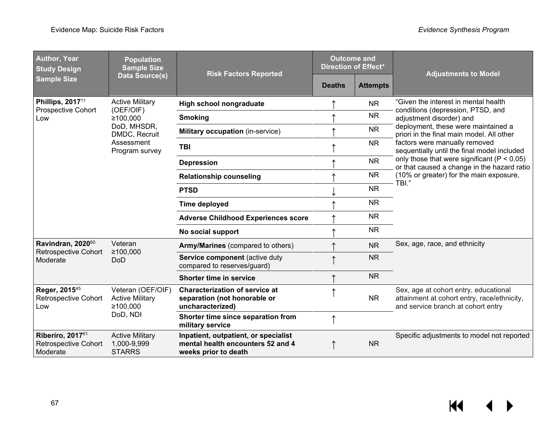| <b>Author, Year</b><br><b>Study Design</b>                      | <b>Population</b><br><b>Sample Size</b>                 | <b>Risk Factors Reported</b>                                                                      | <b>Outcome and</b><br><b>Direction of Effect*</b> |                 | <b>Adjustments to Model</b>                                                                                                |
|-----------------------------------------------------------------|---------------------------------------------------------|---------------------------------------------------------------------------------------------------|---------------------------------------------------|-----------------|----------------------------------------------------------------------------------------------------------------------------|
| <b>Sample Size</b>                                              | Data Source(s)                                          |                                                                                                   | <b>Deaths</b>                                     | <b>Attempts</b> |                                                                                                                            |
| Phillips, 2017 <sup>11</sup>                                    | <b>Active Military</b>                                  | High school nongraduate                                                                           |                                                   | NR              | "Given the interest in mental health                                                                                       |
| Prospective Cohort<br>Low                                       | (OEF/OIF)<br>≥100,000                                   | <b>Smoking</b>                                                                                    |                                                   | <b>NR</b>       | conditions (depression, PTSD, and<br>adjustment disorder) and                                                              |
|                                                                 | DoD, MHSDR,<br>DMDC, Recruit                            | <b>Military occupation (in-service)</b>                                                           |                                                   | <b>NR</b>       | deployment, these were maintained a<br>priori in the final main model. All other                                           |
|                                                                 | Assessment<br>Program survey                            | <b>TBI</b>                                                                                        |                                                   | <b>NR</b>       | factors were manually removed<br>sequentially until the final model included                                               |
|                                                                 |                                                         | <b>Depression</b>                                                                                 |                                                   | <b>NR</b>       | only those that were significant ( $P < 0.05$ )<br>or that caused a change in the hazard ratio                             |
|                                                                 |                                                         | <b>Relationship counseling</b>                                                                    |                                                   | <b>NR</b>       | (10% or greater) for the main exposure,<br>TBI."                                                                           |
|                                                                 |                                                         | <b>PTSD</b>                                                                                       |                                                   | <b>NR</b>       |                                                                                                                            |
|                                                                 |                                                         | <b>Time deployed</b>                                                                              |                                                   | <b>NR</b>       |                                                                                                                            |
|                                                                 |                                                         | <b>Adverse Childhood Experiences score</b>                                                        |                                                   | <b>NR</b>       |                                                                                                                            |
|                                                                 |                                                         | No social support                                                                                 |                                                   | <b>NR</b>       |                                                                                                                            |
| Ravindran, 202060<br><b>Retrospective Cohort</b>                | Veteran                                                 | <b>Army/Marines</b> (compared to others)                                                          |                                                   | <b>NR</b>       | Sex, age, race, and ethnicity                                                                                              |
| Moderate                                                        | ≥100,000<br><b>DoD</b>                                  | Service component (active duty<br>compared to reserves/guard)                                     |                                                   | <b>NR</b>       |                                                                                                                            |
|                                                                 |                                                         | <b>Shorter time in service</b>                                                                    |                                                   | <b>NR</b>       |                                                                                                                            |
| Reger, 2015 <sup>45</sup><br><b>Retrospective Cohort</b><br>Low | Veteran (OEF/OIF)<br><b>Active Military</b><br>≥100,000 | <b>Characterization of service at</b><br>separation (not honorable or<br>uncharacterized)         |                                                   | <b>NR</b>       | Sex, age at cohort entry, educational<br>attainment at cohort entry, race/ethnicity,<br>and service branch at cohort entry |
|                                                                 | DoD, NDI                                                | Shorter time since separation from<br>military service                                            |                                                   |                 |                                                                                                                            |
| Riberiro, 201761<br>Retrospective Cohort<br>Moderate            | <b>Active Military</b><br>1,000-9,999<br><b>STARRS</b>  | Inpatient, outpatient, or specialist<br>mental health encounters 52 and 4<br>weeks prior to death |                                                   | <b>NR</b>       | Specific adjustments to model not reported                                                                                 |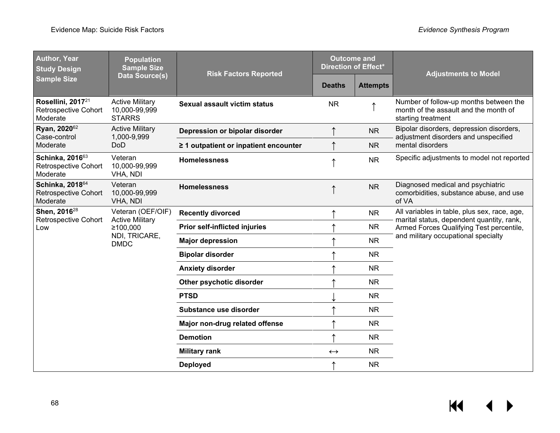| <b>Author, Year</b><br><b>Study Design</b>                        | <b>Population</b><br><b>Sample Size</b><br>Data Source(s)                               | <b>Risk Factors Reported</b>          | <b>Outcome and</b><br><b>Direction of Effect*</b> |                 | <b>Adjustments to Model</b>                                                                           |
|-------------------------------------------------------------------|-----------------------------------------------------------------------------------------|---------------------------------------|---------------------------------------------------|-----------------|-------------------------------------------------------------------------------------------------------|
| <b>Sample Size</b>                                                |                                                                                         |                                       | <b>Deaths</b>                                     | <b>Attempts</b> |                                                                                                       |
| Rosellini, 2017 <sup>21</sup><br>Retrospective Cohort<br>Moderate | <b>Active Military</b><br>10,000-99,999<br><b>STARRS</b>                                | Sexual assault victim status          | <b>NR</b>                                         |                 | Number of follow-up months between the<br>month of the assault and the month of<br>starting treatment |
| Ryan, 2020 <sup>62</sup><br>Case-control                          | <b>Active Military</b><br>1,000-9,999                                                   | Depression or bipolar disorder        |                                                   | <b>NR</b>       | Bipolar disorders, depression disorders,<br>adjustment disorders and unspecified                      |
| Moderate                                                          | <b>DoD</b>                                                                              | ≥ 1 outpatient or inpatient encounter |                                                   | <b>NR</b>       | mental disorders                                                                                      |
| Schinka, 201663<br>Retrospective Cohort<br>Moderate               | Veteran<br>10,000-99,999<br>VHA, NDI                                                    | <b>Homelessness</b>                   |                                                   | <b>NR</b>       | Specific adjustments to model not reported                                                            |
| Schinka, 201864<br>Retrospective Cohort<br>Moderate               | Veteran<br>10,000-99,999<br>VHA, NDI                                                    | <b>Homelessness</b>                   |                                                   | <b>NR</b>       | Diagnosed medical and psychiatric<br>comorbidities, substance abuse, and use<br>of VA                 |
| Shen, 2016 <sup>28</sup>                                          | Veteran (OEF/OIF)<br><b>Active Military</b><br>≥100,000<br>NDI, TRICARE,<br><b>DMDC</b> | <b>Recently divorced</b>              |                                                   | <b>NR</b>       | All variables in table, plus sex, race, age,<br>marital status, dependent quantity, rank,             |
| Retrospective Cohort<br>Low                                       |                                                                                         | <b>Prior self-inflicted injuries</b>  |                                                   | <b>NR</b>       | Armed Forces Qualifying Test percentile,                                                              |
|                                                                   |                                                                                         | <b>Major depression</b>               |                                                   | <b>NR</b>       | and military occupational specialty                                                                   |
|                                                                   |                                                                                         | <b>Bipolar disorder</b>               |                                                   | <b>NR</b>       |                                                                                                       |
|                                                                   |                                                                                         | <b>Anxiety disorder</b>               |                                                   | <b>NR</b>       |                                                                                                       |
|                                                                   |                                                                                         | Other psychotic disorder              |                                                   | <b>NR</b>       |                                                                                                       |
|                                                                   |                                                                                         | <b>PTSD</b>                           |                                                   | <b>NR</b>       |                                                                                                       |
|                                                                   |                                                                                         | Substance use disorder                |                                                   | <b>NR</b>       |                                                                                                       |
|                                                                   |                                                                                         | Major non-drug related offense        |                                                   | <b>NR</b>       |                                                                                                       |
|                                                                   |                                                                                         | <b>Demotion</b>                       |                                                   | <b>NR</b>       |                                                                                                       |
|                                                                   |                                                                                         | <b>Military rank</b>                  | $\leftrightarrow$                                 | <b>NR</b>       |                                                                                                       |
|                                                                   |                                                                                         | <b>Deployed</b>                       |                                                   | <b>NR</b>       |                                                                                                       |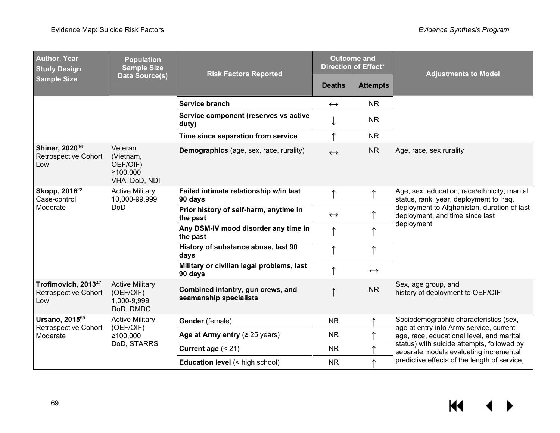| <b>Author, Year</b><br><b>Study Design</b>                       | <b>Population</b><br><b>Sample Size</b><br><b>Data Source(s)</b> | <b>Risk Factors Reported</b>                                | <b>Outcome and</b><br><b>Direction of Effect*</b> |                   | <b>Adjustments to Model</b>                                                             |  |
|------------------------------------------------------------------|------------------------------------------------------------------|-------------------------------------------------------------|---------------------------------------------------|-------------------|-----------------------------------------------------------------------------------------|--|
| <b>Sample Size</b>                                               |                                                                  |                                                             | <b>Deaths</b>                                     | <b>Attempts</b>   |                                                                                         |  |
|                                                                  |                                                                  | Service branch                                              | $\leftrightarrow$                                 | <b>NR</b>         |                                                                                         |  |
|                                                                  |                                                                  | Service component (reserves vs active<br>duty)              |                                                   | <b>NR</b>         |                                                                                         |  |
|                                                                  |                                                                  | Time since separation from service                          |                                                   | <b>NR</b>         |                                                                                         |  |
| Shiner, 2020 <sup>46</sup><br><b>Retrospective Cohort</b><br>Low | Veteran<br>(Vietnam,<br>OEF/OIF)<br>≥100,000<br>VHA, DoD, NDI    | <b>Demographics</b> (age, sex, race, rurality)              | $\leftrightarrow$                                 | <b>NR</b>         | Age, race, sex rurality                                                                 |  |
| Skopp, 2016 <sup>22</sup><br>Case-control                        | <b>Active Military</b><br>10,000-99,999                          | Failed intimate relationship w/in last<br>90 days           |                                                   |                   | Age, sex, education, race/ethnicity, marital<br>status, rank, year, deployment to Iraq, |  |
| Moderate                                                         | <b>DoD</b>                                                       | Prior history of self-harm, anytime in<br>the past          | $\leftrightarrow$                                 |                   | deployment to Afghanistan, duration of last<br>deployment, and time since last          |  |
|                                                                  |                                                                  | Any DSM-IV mood disorder any time in<br>the past            |                                                   |                   | deployment                                                                              |  |
|                                                                  |                                                                  | History of substance abuse, last 90<br>days                 |                                                   |                   |                                                                                         |  |
|                                                                  |                                                                  | Military or civilian legal problems, last<br>90 days        |                                                   | $\leftrightarrow$ |                                                                                         |  |
| Trofimovich, 2013 <sup>47</sup><br>Retrospective Cohort<br>Low   | <b>Active Military</b><br>(OEF/OIF)<br>1,000-9,999<br>DoD, DMDC  | Combined infantry, gun crews, and<br>seamanship specialists |                                                   | <b>NR</b>         | Sex, age group, and<br>history of deployment to OEF/OIF                                 |  |
| Ursano, 201565<br>Retrospective Cohort                           | <b>Active Military</b><br>(OEF/OIF)                              | Gender (female)                                             | <b>NR</b>                                         |                   | Sociodemographic characteristics (sex,<br>age at entry into Army service, current       |  |
| Moderate                                                         | ≥100,000                                                         | Age at Army entry $(≥ 25$ years)                            | <b>NR</b>                                         |                   | age, race, educational level, and marital                                               |  |
|                                                                  | DoD, STARRS                                                      | Current age $(21)$                                          | <b>NR</b>                                         |                   | status) with suicide attempts, followed by<br>separate models evaluating incremental    |  |
|                                                                  |                                                                  | <b>Education level (&lt; high school)</b>                   | <b>NR</b>                                         |                   | predictive effects of the length of service,                                            |  |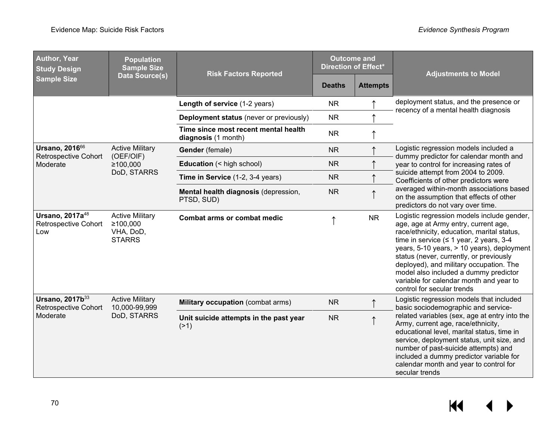| Author, Year<br><b>Study Design</b>                        | <b>Population</b><br><b>Sample Size</b><br><b>Data Source(s)</b> | <b>Risk Factors Reported</b>                                | <b>Outcome and</b><br><b>Direction of Effect*</b> |                 | <b>Adjustments to Model</b>                                                                                                                                                                                                                                                                                                                                                                                                             |
|------------------------------------------------------------|------------------------------------------------------------------|-------------------------------------------------------------|---------------------------------------------------|-----------------|-----------------------------------------------------------------------------------------------------------------------------------------------------------------------------------------------------------------------------------------------------------------------------------------------------------------------------------------------------------------------------------------------------------------------------------------|
| <b>Sample Size</b>                                         |                                                                  |                                                             | <b>Deaths</b>                                     | <b>Attempts</b> |                                                                                                                                                                                                                                                                                                                                                                                                                                         |
|                                                            |                                                                  | Length of service (1-2 years)                               | <b>NR</b>                                         |                 | deployment status, and the presence or<br>recency of a mental health diagnosis                                                                                                                                                                                                                                                                                                                                                          |
|                                                            |                                                                  | Deployment status (never or previously)                     | <b>NR</b>                                         |                 |                                                                                                                                                                                                                                                                                                                                                                                                                                         |
|                                                            |                                                                  | Time since most recent mental health<br>diagnosis (1 month) | <b>NR</b>                                         |                 |                                                                                                                                                                                                                                                                                                                                                                                                                                         |
| Ursano, 2016 <sup>66</sup><br>Retrospective Cohort         | <b>Active Military</b><br>(OEF/OIF)                              | Gender (female)                                             | <b>NR</b>                                         |                 | Logistic regression models included a<br>dummy predictor for calendar month and                                                                                                                                                                                                                                                                                                                                                         |
| Moderate                                                   | ≥100,000                                                         | <b>Education</b> (< high school)                            | <b>NR</b>                                         |                 | year to control for increasing rates of                                                                                                                                                                                                                                                                                                                                                                                                 |
|                                                            | DoD, STARRS                                                      | Time in Service (1-2, 3-4 years)                            | <b>NR</b>                                         |                 | suicide attempt from 2004 to 2009.<br>Coefficients of other predictors were                                                                                                                                                                                                                                                                                                                                                             |
|                                                            |                                                                  | Mental health diagnosis (depression,<br>PTSD, SUD)          | <b>NR</b>                                         |                 | averaged within-month associations based<br>on the assumption that effects of other<br>predictors do not vary over time.                                                                                                                                                                                                                                                                                                                |
| Ursano, 2017a <sup>48</sup><br>Retrospective Cohort<br>Low | <b>Active Military</b><br>≥100,000<br>VHA, DoD,<br><b>STARRS</b> | <b>Combat arms or combat medic</b>                          | ᠰ                                                 | <b>NR</b>       | Logistic regression models include gender,<br>age, age at Army entry, current age,<br>race/ethnicity, education, marital status,<br>time in service ( $\leq$ 1 year, 2 years, 3-4<br>years, 5-10 years, > 10 years), deployment<br>status (never, currently, or previously<br>deployed), and military occupation. The<br>model also included a dummy predictor<br>variable for calendar month and year to<br>control for secular trends |
| Ursano, 2017b <sup>33</sup><br>Retrospective Cohort        | <b>Active Military</b><br>10,000-99,999                          | Military occupation (combat arms)                           | <b>NR</b>                                         |                 | Logistic regression models that included<br>basic sociodemographic and service-                                                                                                                                                                                                                                                                                                                                                         |
| Moderate                                                   | DoD, STARRS                                                      | Unit suicide attempts in the past year<br>(21)              | <b>NR</b>                                         | $\uparrow$      | related variables (sex, age at entry into the<br>Army, current age, race/ethnicity,<br>educational level, marital status, time in<br>service, deployment status, unit size, and<br>number of past-suicide attempts) and<br>included a dummy predictor variable for<br>calendar month and year to control for<br>secular trends                                                                                                          |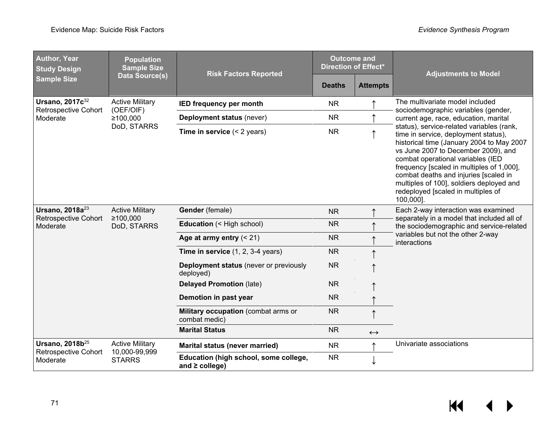| <b>Author, Year</b><br><b>Study Design</b><br><b>Sample Size</b> | <b>Population</b><br><b>Sample Size</b><br><b>Data Source(s)</b> | <b>Risk Factors Reported</b>                                | <b>Outcome and</b><br><b>Direction of Effect*</b><br><b>Deaths</b> | <b>Attempts</b>   | <b>Adjustments to Model</b>                                                                                                                                                                                                                                                                                                                                                                     |  |  |  |  |
|------------------------------------------------------------------|------------------------------------------------------------------|-------------------------------------------------------------|--------------------------------------------------------------------|-------------------|-------------------------------------------------------------------------------------------------------------------------------------------------------------------------------------------------------------------------------------------------------------------------------------------------------------------------------------------------------------------------------------------------|--|--|--|--|
| Ursano, 2017c <sup>32</sup><br>Retrospective Cohort              | <b>Active Military</b><br>(OEF/OIF)                              | <b>IED frequency per month</b>                              | <b>NR</b>                                                          |                   | The multivariate model included<br>sociodemographic variables (gender,                                                                                                                                                                                                                                                                                                                          |  |  |  |  |
| Moderate                                                         | ≥100,000                                                         | Deployment status (never)                                   | <b>NR</b>                                                          |                   | current age, race, education, marital                                                                                                                                                                                                                                                                                                                                                           |  |  |  |  |
|                                                                  | DoD, STARRS                                                      | Time in service $(< 2$ years)                               | <b>NR</b>                                                          |                   | status), service-related variables (rank,<br>time in service, deployment status),<br>historical time (January 2004 to May 2007<br>vs June 2007 to December 2009), and<br>combat operational variables (IED<br>frequency [scaled in multiples of 1,000],<br>combat deaths and injuries [scaled in<br>multiples of 100], soldiers deployed and<br>redeployed [scaled in multiples of<br>100,000]. |  |  |  |  |
| Ursano, 2018a <sup>23</sup><br>Retrospective Cohort              | <b>Active Military</b><br>≥100,000<br>DoD, STARRS                | Gender (female)                                             | <b>NR</b>                                                          |                   | Each 2-way interaction was examined<br>separately in a model that included all of                                                                                                                                                                                                                                                                                                               |  |  |  |  |
| Moderate                                                         |                                                                  | <b>Education (&lt; High school)</b>                         | <b>NR</b>                                                          |                   | the sociodemographic and service-related                                                                                                                                                                                                                                                                                                                                                        |  |  |  |  |
|                                                                  |                                                                  | Age at army entry $(< 21)$                                  | <b>NR</b>                                                          |                   | variables but not the other 2-way<br>interactions                                                                                                                                                                                                                                                                                                                                               |  |  |  |  |
|                                                                  |                                                                  | Time in service $(1, 2, 3-4$ years)                         | <b>NR</b>                                                          |                   |                                                                                                                                                                                                                                                                                                                                                                                                 |  |  |  |  |
|                                                                  |                                                                  | <b>Deployment status</b> (never or previously<br>deployed)  | <b>NR</b>                                                          |                   |                                                                                                                                                                                                                                                                                                                                                                                                 |  |  |  |  |
|                                                                  |                                                                  | <b>Delayed Promotion (late)</b>                             | <b>NR</b>                                                          |                   |                                                                                                                                                                                                                                                                                                                                                                                                 |  |  |  |  |
|                                                                  |                                                                  | Demotion in past year                                       | <b>NR</b>                                                          |                   |                                                                                                                                                                                                                                                                                                                                                                                                 |  |  |  |  |
|                                                                  |                                                                  | Military occupation (combat arms or<br>combat medic)        | <b>NR</b>                                                          |                   |                                                                                                                                                                                                                                                                                                                                                                                                 |  |  |  |  |
|                                                                  |                                                                  | <b>Marital Status</b>                                       | <b>NR</b>                                                          | $\leftrightarrow$ |                                                                                                                                                                                                                                                                                                                                                                                                 |  |  |  |  |
| Ursano, 2018b <sup>25</sup>                                      | <b>Active Military</b><br>10,000-99,999                          | Marital status (never married)                              | <b>NR</b>                                                          |                   | Univariate associations                                                                                                                                                                                                                                                                                                                                                                         |  |  |  |  |
| Retrospective Cohort<br>Moderate                                 | <b>STARRS</b>                                                    | Education (high school, some college,<br>and $\ge$ college) | <b>NR</b>                                                          |                   |                                                                                                                                                                                                                                                                                                                                                                                                 |  |  |  |  |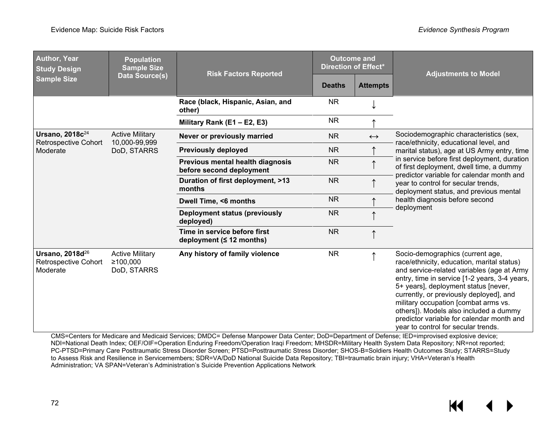| <b>Author, Year</b><br><b>Study Design</b>                      | <b>Population</b><br><b>Sample Size</b>           | <b>Risk Factors Reported</b>                                   | <b>Outcome and</b><br><b>Direction of Effect*</b> |                   | <b>Adjustments to Model</b>                                                                                                                                                                                                                                                                                                                                                                                                            |
|-----------------------------------------------------------------|---------------------------------------------------|----------------------------------------------------------------|---------------------------------------------------|-------------------|----------------------------------------------------------------------------------------------------------------------------------------------------------------------------------------------------------------------------------------------------------------------------------------------------------------------------------------------------------------------------------------------------------------------------------------|
| <b>Sample Size</b>                                              | Data Source(s)                                    |                                                                | <b>Deaths</b>                                     | <b>Attempts</b>   |                                                                                                                                                                                                                                                                                                                                                                                                                                        |
|                                                                 |                                                   | Race (black, Hispanic, Asian, and<br>other)                    | <b>NR</b>                                         |                   |                                                                                                                                                                                                                                                                                                                                                                                                                                        |
|                                                                 |                                                   | Military Rank (E1 - E2, E3)                                    | NR.                                               |                   |                                                                                                                                                                                                                                                                                                                                                                                                                                        |
| Ursano, 2018c <sup>24</sup><br><b>Retrospective Cohort</b>      | <b>Active Military</b><br>10,000-99,999           | Never or previously married                                    | <b>NR</b>                                         | $\leftrightarrow$ | Sociodemographic characteristics (sex,<br>race/ethnicity, educational level, and                                                                                                                                                                                                                                                                                                                                                       |
| Moderate                                                        | DoD, STARRS                                       | <b>Previously deployed</b>                                     | <b>NR</b>                                         |                   | marital status), age at US Army entry, time                                                                                                                                                                                                                                                                                                                                                                                            |
|                                                                 |                                                   | Previous mental health diagnosis<br>before second deployment   | <b>NR</b>                                         |                   | in service before first deployment, duration<br>of first deployment, dwell time, a dummy<br>predictor variable for calendar month and                                                                                                                                                                                                                                                                                                  |
|                                                                 |                                                   | Duration of first deployment, >13<br>months                    | <b>NR</b>                                         |                   | year to control for secular trends,<br>deployment status, and previous mental                                                                                                                                                                                                                                                                                                                                                          |
|                                                                 |                                                   | Dwell Time, <6 months                                          | <b>NR</b>                                         |                   | health diagnosis before second                                                                                                                                                                                                                                                                                                                                                                                                         |
|                                                                 |                                                   | <b>Deployment status (previously</b><br>deployed)              | <b>NR</b>                                         |                   | deployment                                                                                                                                                                                                                                                                                                                                                                                                                             |
|                                                                 |                                                   | Time in service before first<br>deployment ( $\leq$ 12 months) | <b>NR</b>                                         | ↑                 |                                                                                                                                                                                                                                                                                                                                                                                                                                        |
| Ursano, 2018d <sup>26</sup><br>Retrospective Cohort<br>Moderate | <b>Active Military</b><br>≥100,000<br>DoD, STARRS | Any history of family violence                                 | <b>NR</b>                                         |                   | Socio-demographics (current age,<br>race/ethnicity, education, marital status)<br>and service-related variables (age at Army<br>entry, time in service [1-2 years, 3-4 years,<br>5+ years], deployment status [never,<br>currently, or previously deployed], and<br>military occupation [combat arms vs.<br>others]). Models also included a dummy<br>predictor variable for calendar month and<br>year to control for secular trends. |

CMS=Centers for Medicare and Medicaid Services; DMDC= Defense Manpower Data Center; DoD=Department of Defense; IED=improvised explosive device; NDI=National Death Index; OEF/OIF=Operation Enduring Freedom/Operation Iraqi Freedom; MHSDR=Military Health System Data Repository; NR=not reported; PC-PTSD=Primary Care Posttraumatic Stress Disorder Screen; PTSD=Posttraumatic Stress Disorder; SHOS-B=Soldiers Health Outcomes Study; STARRS=Study to Assess Risk and Resilience in Servicemembers; SDR=VA/DoD National Suicide Data Repository; TBI=traumatic brain injury; VHA=Veteran's Health Administration; VA SPAN=Veteran's Administration's Suicide Prevention Applications Network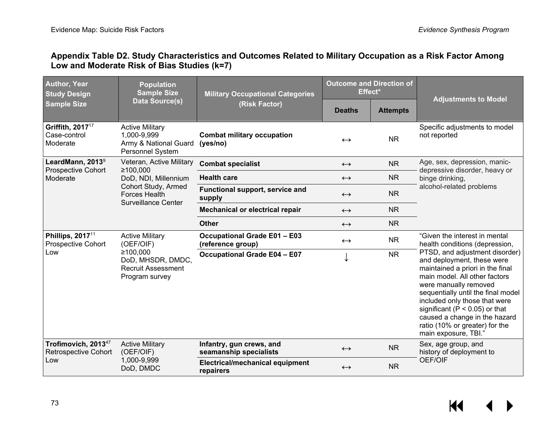#### **Appendix Table D2. Study Characteristics and Outcomes Related to Military Occupation as a Risk Factor Among Low and Moderate Risk of Bias Studies (k=7)**

| <b>Author, Year</b><br><b>Study Design</b>                         | <b>Population</b><br><b>Sample Size</b>                                            | <b>Military Occupational Categories</b>                  | <b>Outcome and Direction of</b><br>Effect* |                 | <b>Adjustments to Model</b>                                                                                                                                                                                                                                                                                                                                        |  |  |
|--------------------------------------------------------------------|------------------------------------------------------------------------------------|----------------------------------------------------------|--------------------------------------------|-----------------|--------------------------------------------------------------------------------------------------------------------------------------------------------------------------------------------------------------------------------------------------------------------------------------------------------------------------------------------------------------------|--|--|
| <b>Sample Size</b>                                                 | <b>Data Source(s)</b>                                                              | (Risk Factor)                                            | <b>Deaths</b>                              | <b>Attempts</b> |                                                                                                                                                                                                                                                                                                                                                                    |  |  |
| Griffith, 2017 <sup>17</sup><br>Case-control<br>Moderate           | <b>Active Military</b><br>1,000-9,999<br>Army & National Guard<br>Personnel System | <b>Combat military occupation</b><br>(yes/no)            | $\leftrightarrow$                          | <b>NR</b>       | Specific adjustments to model<br>not reported                                                                                                                                                                                                                                                                                                                      |  |  |
| LeardMann, 2013 <sup>9</sup><br>Prospective Cohort                 | Veteran, Active Military<br>≥100,000                                               | <b>Combat specialist</b>                                 | $\leftrightarrow$                          | <b>NR</b>       | Age, sex, depression, manic-<br>depressive disorder, heavy or                                                                                                                                                                                                                                                                                                      |  |  |
| Moderate                                                           | DoD, NDI, Millennium                                                               | <b>Health care</b>                                       | $\leftrightarrow$                          | <b>NR</b>       | binge drinking,                                                                                                                                                                                                                                                                                                                                                    |  |  |
| Cohort Study, Armed<br>Forces Health<br><b>Surveillance Center</b> |                                                                                    | Functional support, service and<br>supply                | $\leftrightarrow$                          | <b>NR</b>       | alcohol-related problems                                                                                                                                                                                                                                                                                                                                           |  |  |
|                                                                    |                                                                                    | Mechanical or electrical repair                          | $\leftrightarrow$                          | <b>NR</b>       |                                                                                                                                                                                                                                                                                                                                                                    |  |  |
|                                                                    |                                                                                    | <b>Other</b>                                             | $\leftrightarrow$                          | <b>NR</b>       |                                                                                                                                                                                                                                                                                                                                                                    |  |  |
| Phillips, 2017 <sup>11</sup><br>Prospective Cohort                 | <b>Active Military</b><br>(OEF/OIF)                                                | <b>Occupational Grade E01 - E03</b><br>(reference group) | $\leftrightarrow$                          | <b>NR</b>       | "Given the interest in mental<br>health conditions (depression,                                                                                                                                                                                                                                                                                                    |  |  |
| ≥100,000<br>Low<br><b>Recruit Assessment</b><br>Program survey     | DoD, MHSDR, DMDC,                                                                  | <b>Occupational Grade E04 - E07</b>                      |                                            | <b>NR</b>       | PTSD, and adjustment disorder)<br>and deployment, these were<br>maintained a priori in the final<br>main model. All other factors<br>were manually removed<br>sequentially until the final model<br>included only those that were<br>significant ( $P < 0.05$ ) or that<br>caused a change in the hazard<br>ratio (10% or greater) for the<br>main exposure, TBI." |  |  |
| Trofimovich, 2013 <sup>47</sup><br><b>Retrospective Cohort</b>     | <b>Active Military</b><br>(OEF/OIF)                                                | Infantry, gun crews, and<br>seamanship specialists       | $\leftrightarrow$                          | <b>NR</b>       | Sex, age group, and<br>history of deployment to                                                                                                                                                                                                                                                                                                                    |  |  |
| Low                                                                | 1,000-9,999<br>DoD, DMDC                                                           | <b>Electrical/mechanical equipment</b><br>repairers      | $\leftrightarrow$                          | <b>NR</b>       | OEF/OIF                                                                                                                                                                                                                                                                                                                                                            |  |  |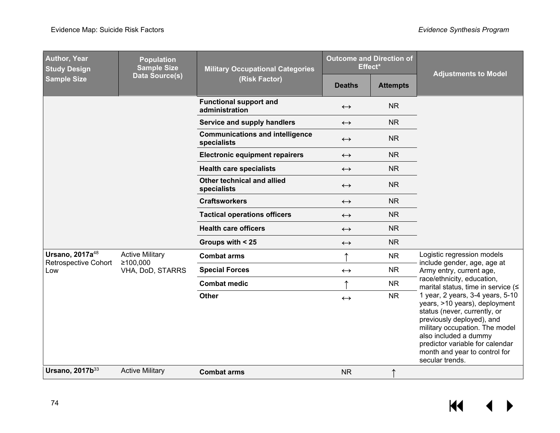| <b>Author, Year</b><br><b>Study Design</b> | <b>Population</b><br><b>Sample Size</b> | <b>Military Occupational Categories</b>               | <b>Outcome and Direction of</b><br>Effect* |                 | <b>Adjustments to Model</b>                                                                                                                                                                                                                                                      |
|--------------------------------------------|-----------------------------------------|-------------------------------------------------------|--------------------------------------------|-----------------|----------------------------------------------------------------------------------------------------------------------------------------------------------------------------------------------------------------------------------------------------------------------------------|
| <b>Sample Size</b>                         | <b>Data Source(s)</b>                   | (Risk Factor)                                         | <b>Deaths</b>                              | <b>Attempts</b> |                                                                                                                                                                                                                                                                                  |
|                                            |                                         | <b>Functional support and</b><br>administration       | $\leftrightarrow$                          | <b>NR</b>       |                                                                                                                                                                                                                                                                                  |
|                                            |                                         | Service and supply handlers                           | $\leftrightarrow$                          | <b>NR</b>       |                                                                                                                                                                                                                                                                                  |
|                                            |                                         | <b>Communications and intelligence</b><br>specialists | $\leftrightarrow$                          | <b>NR</b>       |                                                                                                                                                                                                                                                                                  |
|                                            |                                         | <b>Electronic equipment repairers</b>                 | $\leftrightarrow$                          | <b>NR</b>       |                                                                                                                                                                                                                                                                                  |
|                                            |                                         | <b>Health care specialists</b>                        | $\leftrightarrow$                          | <b>NR</b>       |                                                                                                                                                                                                                                                                                  |
|                                            |                                         | Other technical and allied<br>specialists             | $\leftrightarrow$                          | <b>NR</b>       |                                                                                                                                                                                                                                                                                  |
|                                            |                                         | <b>Craftsworkers</b>                                  | $\leftrightarrow$                          | <b>NR</b>       |                                                                                                                                                                                                                                                                                  |
|                                            |                                         | <b>Tactical operations officers</b>                   | $\leftrightarrow$                          | <b>NR</b>       |                                                                                                                                                                                                                                                                                  |
|                                            |                                         | <b>Health care officers</b>                           | $\leftrightarrow$                          | <b>NR</b>       |                                                                                                                                                                                                                                                                                  |
|                                            |                                         | Groups with < 25                                      | $\longleftrightarrow$                      | <b>NR</b>       |                                                                                                                                                                                                                                                                                  |
| Ursano, 2017a <sup>48</sup>                | <b>Active Military</b><br>≥100,000      | <b>Combat arms</b>                                    |                                            | <b>NR</b>       | Logistic regression models                                                                                                                                                                                                                                                       |
| <b>Retrospective Cohort</b><br>Low         | VHA, DoD, STARRS                        | <b>Special Forces</b>                                 | $\leftrightarrow$                          | <b>NR</b>       | include gender, age, age at<br>Army entry, current age,                                                                                                                                                                                                                          |
|                                            |                                         | <b>Combat medic</b>                                   |                                            | <b>NR</b>       | race/ethnicity, education,<br>marital status, time in service (≤                                                                                                                                                                                                                 |
|                                            |                                         | <b>Other</b>                                          | $\leftrightarrow$                          | <b>NR</b>       | 1 year, 2 years, 3-4 years, 5-10<br>years, >10 years), deployment<br>status (never, currently, or<br>previously deployed), and<br>military occupation. The model<br>also included a dummy<br>predictor variable for calendar<br>month and year to control for<br>secular trends. |
| Ursano, 2017b <sup>33</sup>                | <b>Active Military</b>                  | <b>Combat arms</b>                                    | <b>NR</b>                                  |                 |                                                                                                                                                                                                                                                                                  |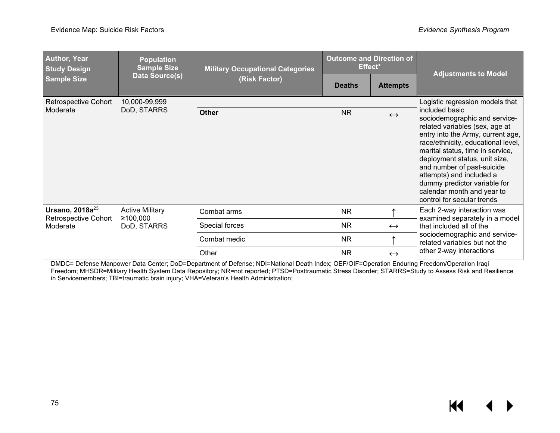| <b>Author, Year</b><br><b>Study Design</b>          | <b>Population</b><br><b>Sample Size</b> | <b>Military Occupational Categories</b> | <b>Outcome and Direction of</b><br>Effect* |                   | <b>Adjustments to Model</b>                                                                                                                                                                                                                                                                                                                                                                                                |
|-----------------------------------------------------|-----------------------------------------|-----------------------------------------|--------------------------------------------|-------------------|----------------------------------------------------------------------------------------------------------------------------------------------------------------------------------------------------------------------------------------------------------------------------------------------------------------------------------------------------------------------------------------------------------------------------|
| <b>Sample Size</b>                                  | <b>Data Source(s)</b><br>(Risk Factor)  |                                         | <b>Deaths</b>                              | <b>Attempts</b>   |                                                                                                                                                                                                                                                                                                                                                                                                                            |
| <b>Retrospective Cohort</b><br>Moderate             | 10,000-99,999<br>DoD, STARRS            | <b>Other</b>                            | N <sub>R</sub>                             | $\leftrightarrow$ | Logistic regression models that<br>included basic<br>sociodemographic and service-<br>related variables (sex, age at<br>entry into the Army, current age,<br>race/ethnicity, educational level,<br>marital status, time in service,<br>deployment status, unit size,<br>and number of past-suicide<br>attempts) and included a<br>dummy predictor variable for<br>calendar month and year to<br>control for secular trends |
| Ursano, $2018a^{23}$<br><b>Retrospective Cohort</b> | <b>Active Military</b><br>≥100,000      | Combat arms                             | <b>NR</b>                                  |                   | Each 2-way interaction was<br>examined separately in a model                                                                                                                                                                                                                                                                                                                                                               |
| Moderate                                            | DoD, STARRS                             | Special forces                          | NR.                                        | $\leftrightarrow$ | that included all of the                                                                                                                                                                                                                                                                                                                                                                                                   |
|                                                     |                                         | Combat medic                            | <b>NR</b>                                  |                   | sociodemographic and service-<br>related variables but not the                                                                                                                                                                                                                                                                                                                                                             |
|                                                     |                                         | Other                                   | <b>NR</b>                                  | $\leftrightarrow$ | other 2-way interactions                                                                                                                                                                                                                                                                                                                                                                                                   |

DMDC= Defense Manpower Data Center; DoD=Department of Defense; NDI=National Death Index; OEF/OIF=Operation Enduring Freedom/Operation Iraqi Freedom; MHSDR=Military Health System Data Repository; NR=not reported; PTSD=Posttraumatic Stress Disorder; STARRS=Study to Assess Risk and Resilience in Servicemembers; TBI=traumatic brain injury; VHA=Veteran's Health Administration;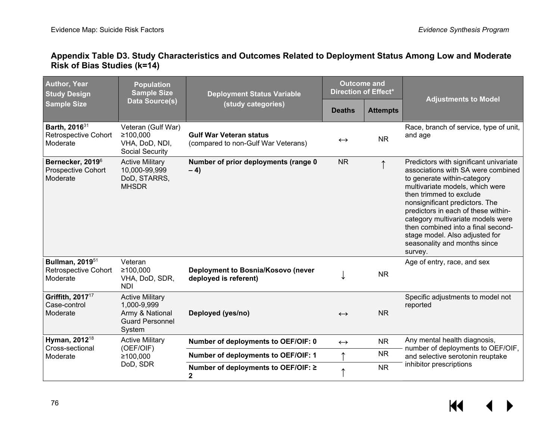|                             | Appendix Table D3. Study Characteristics and Outcomes Related to Deployment Status Among Low and Moderate |  |  |
|-----------------------------|-----------------------------------------------------------------------------------------------------------|--|--|
| Risk of Bias Studies (k=14) |                                                                                                           |  |  |

| <b>Author, Year</b><br><b>Study Design</b>                                    | <b>Population</b><br><b>Sample Size</b>                                                      | <b>Deployment Status Variable</b>                                     | <b>Outcome and</b><br><b>Direction of Effect*</b> |                 | <b>Adjustments to Model</b>                                                                                                                                                                                                                                                                                                                                                                                |
|-------------------------------------------------------------------------------|----------------------------------------------------------------------------------------------|-----------------------------------------------------------------------|---------------------------------------------------|-----------------|------------------------------------------------------------------------------------------------------------------------------------------------------------------------------------------------------------------------------------------------------------------------------------------------------------------------------------------------------------------------------------------------------------|
| <b>Sample Size</b>                                                            | Data Source(s)                                                                               | (study categories)                                                    | <b>Deaths</b>                                     | <b>Attempts</b> |                                                                                                                                                                                                                                                                                                                                                                                                            |
| Barth, 2016 <sup>31</sup><br>Retrospective Cohort<br>Moderate                 | Veteran (Gulf War)<br>≥100,000<br>VHA, DoD, NDI,<br>Social Security                          | <b>Gulf War Veteran status</b><br>(compared to non-Gulf War Veterans) | $\leftrightarrow$                                 | <b>NR</b>       | Race, branch of service, type of unit,<br>and age                                                                                                                                                                                                                                                                                                                                                          |
| Bernecker, 2019 <sup>6</sup><br>Prospective Cohort<br>Moderate                | <b>Active Military</b><br>10,000-99,999<br>DoD, STARRS,<br><b>MHSDR</b>                      | Number of prior deployments (range 0<br>$-4)$                         | <b>NR</b>                                         | ᠰ               | Predictors with significant univariate<br>associations with SA were combined<br>to generate within-category<br>multivariate models, which were<br>then trimmed to exclude<br>nonsignificant predictors. The<br>predictors in each of these within-<br>category multivariate models were<br>then combined into a final second-<br>stage model. Also adjusted for<br>seasonality and months since<br>survey. |
| <b>Bullman, 2019</b> <sup>51</sup><br><b>Retrospective Cohort</b><br>Moderate | Veteran<br>≥100,000<br>VHA, DoD, SDR,<br><b>NDI</b>                                          | Deployment to Bosnia/Kosovo (never<br>deployed is referent)           |                                                   | <b>NR</b>       | Age of entry, race, and sex                                                                                                                                                                                                                                                                                                                                                                                |
| Griffith, 2017 <sup>17</sup><br>Case-control<br>Moderate                      | <b>Active Military</b><br>1,000-9,999<br>Army & National<br><b>Guard Personnel</b><br>System | Deployed (yes/no)                                                     | $\leftrightarrow$                                 | <b>NR</b>       | Specific adjustments to model not<br>reported                                                                                                                                                                                                                                                                                                                                                              |
| Hyman, 2012 <sup>18</sup><br>Cross-sectional                                  | <b>Active Military</b><br>(OEF/OIF)                                                          | Number of deployments to OEF/OIF: 0                                   | $\leftrightarrow$                                 | <b>NR</b>       | Any mental health diagnosis,<br>number of deployments to OEF/OIF,                                                                                                                                                                                                                                                                                                                                          |
| Moderate                                                                      | ≥100,000                                                                                     | Number of deployments to OEF/OIF: 1                                   |                                                   | <b>NR</b>       | and selective serotonin reuptake                                                                                                                                                                                                                                                                                                                                                                           |
|                                                                               | DoD, SDR                                                                                     | Number of deployments to OEF/OIF: ≥<br>$\mathbf{2}$                   |                                                   | <b>NR</b>       | inhibitor prescriptions                                                                                                                                                                                                                                                                                                                                                                                    |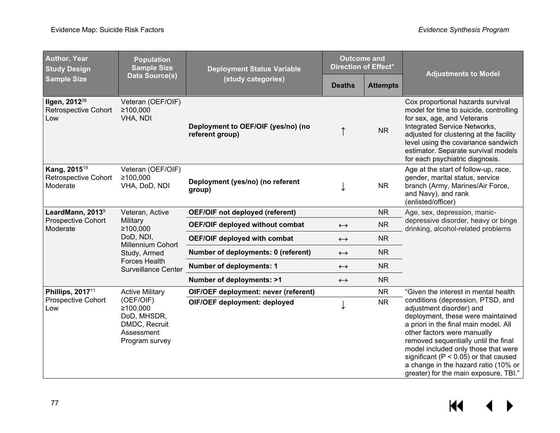| <b>Author, Year</b><br><b>Study Design</b><br><b>Sample Size</b>    | <b>Population</b><br><b>Sample Size</b><br><b>Data Source(s)</b>                                                             | <b>Deployment Status Variable</b><br>(study categories) | <b>Outcome and</b><br><b>Direction of Effect*</b> |                 | <b>Adjustments to Model</b>                                                                                                                                                                                                                                                                                                                                                                                                     |
|---------------------------------------------------------------------|------------------------------------------------------------------------------------------------------------------------------|---------------------------------------------------------|---------------------------------------------------|-----------------|---------------------------------------------------------------------------------------------------------------------------------------------------------------------------------------------------------------------------------------------------------------------------------------------------------------------------------------------------------------------------------------------------------------------------------|
|                                                                     |                                                                                                                              |                                                         | <b>Deaths</b>                                     | <b>Attempts</b> |                                                                                                                                                                                                                                                                                                                                                                                                                                 |
| Ilgen, 2012 <sup>36</sup><br><b>Retrospective Cohort</b><br>Low     | Veteran (OEF/OIF)<br>≥100,000<br>VHA, NDI                                                                                    | Deployment to OEF/OIF (yes/no) (no<br>referent group)   |                                                   | <b>NR</b>       | Cox proportional hazards survival<br>model for time to suicide, controlling<br>for sex, age, and Veterans<br>Integrated Service Networks,<br>adjusted for clustering at the facility<br>level using the covariance sandwich<br>estimator. Separate survival models<br>for each psychiatric diagnosis.                                                                                                                           |
| Kang, 2015 <sup>19</sup><br><b>Retrospective Cohort</b><br>Moderate | Veteran (OEF/OIF)<br>≥100,000<br>VHA, DoD, NDI                                                                               | Deployment (yes/no) (no referent<br>group)              |                                                   | <b>NR</b>       | Age at the start of follow-up, race,<br>gender, marital status, service<br>branch (Army, Marines/Air Force,<br>and Navy), and rank<br>(enlisted/officer)                                                                                                                                                                                                                                                                        |
| LeardMann, 2013 <sup>9</sup>                                        | Veteran, Active                                                                                                              | <b>OEF/OIF not deployed (referent)</b>                  |                                                   | <b>NR</b>       | Age, sex, depression, manic-<br>depressive disorder, heavy or binge<br>drinking, alcohol-related problems                                                                                                                                                                                                                                                                                                                       |
| <b>Prospective Cohort</b><br>Moderate                               | Military<br>≥100,000<br>DoD, NDI,<br><b>Millennium Cohort</b><br>Study, Armed<br>Forces Health<br><b>Surveillance Center</b> | <b>OEF/OIF deployed without combat</b>                  | $\leftrightarrow$                                 | <b>NR</b>       |                                                                                                                                                                                                                                                                                                                                                                                                                                 |
|                                                                     |                                                                                                                              | <b>OEF/OIF deployed with combat</b>                     | $\leftrightarrow$                                 | <b>NR</b>       |                                                                                                                                                                                                                                                                                                                                                                                                                                 |
|                                                                     |                                                                                                                              | Number of deployments: 0 (referent)                     | $\leftrightarrow$                                 | <b>NR</b>       |                                                                                                                                                                                                                                                                                                                                                                                                                                 |
|                                                                     |                                                                                                                              | <b>Number of deployments: 1</b>                         | $\leftrightarrow$                                 | <b>NR</b>       |                                                                                                                                                                                                                                                                                                                                                                                                                                 |
|                                                                     |                                                                                                                              | Number of deployments: >1                               | $\leftrightarrow$                                 | <b>NR</b>       |                                                                                                                                                                                                                                                                                                                                                                                                                                 |
| Phillips, 2017 <sup>11</sup><br>Prospective Cohort<br>Low           | <b>Active Military</b><br>(OEF/OIF)<br>≥100,000<br>DoD, MHSDR,<br>DMDC, Recruit<br>Assessment<br>Program survey              | OIF/OEF deployment: never (referent)                    |                                                   | <b>NR</b>       | "Given the interest in mental health<br>conditions (depression, PTSD, and<br>adjustment disorder) and<br>deployment, these were maintained<br>a priori in the final main model. All<br>other factors were manually<br>removed sequentially until the final<br>model included only those that were<br>significant ( $P < 0.05$ ) or that caused<br>a change in the hazard ratio (10% or<br>greater) for the main exposure, TBI." |
|                                                                     |                                                                                                                              | OIF/OEF deployment: deployed                            |                                                   | <b>NR</b>       |                                                                                                                                                                                                                                                                                                                                                                                                                                 |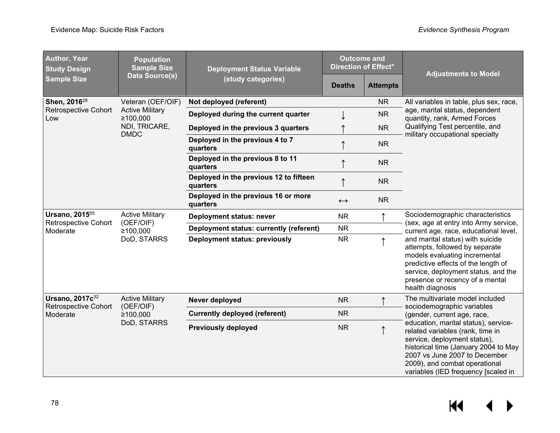| <b>Author, Year</b><br><b>Study Design</b><br><b>Sample Size</b> | <b>Population</b><br><b>Sample Size</b><br><b>Data Source(s)</b>                        | <b>Deployment Status Variable</b><br>(study categories) | <b>Outcome and</b><br><b>Direction of Effect*</b> |                 | <b>Adjustments to Model</b>                                                                                                                                                                                                                                                                                                                                    |
|------------------------------------------------------------------|-----------------------------------------------------------------------------------------|---------------------------------------------------------|---------------------------------------------------|-----------------|----------------------------------------------------------------------------------------------------------------------------------------------------------------------------------------------------------------------------------------------------------------------------------------------------------------------------------------------------------------|
|                                                                  |                                                                                         |                                                         | <b>Deaths</b>                                     | <b>Attempts</b> |                                                                                                                                                                                                                                                                                                                                                                |
| Shen, 2016 <sup>28</sup><br><b>Retrospective Cohort</b><br>Low   | Veteran (OEF/OIF)<br><b>Active Military</b><br>≥100,000<br>NDI, TRICARE,<br><b>DMDC</b> | Not deployed (referent)                                 |                                                   | <b>NR</b>       | All variables in table, plus sex, race,<br>age, marital status, dependent<br>quantity, rank, Armed Forces<br>Qualifying Test percentile, and<br>military occupational specialty                                                                                                                                                                                |
|                                                                  |                                                                                         | Deployed during the current quarter                     |                                                   | <b>NR</b>       |                                                                                                                                                                                                                                                                                                                                                                |
|                                                                  |                                                                                         | Deployed in the previous 3 quarters                     |                                                   | <b>NR</b>       |                                                                                                                                                                                                                                                                                                                                                                |
|                                                                  |                                                                                         | Deployed in the previous 4 to 7<br>quarters             | ↑                                                 | <b>NR</b>       |                                                                                                                                                                                                                                                                                                                                                                |
|                                                                  |                                                                                         | Deployed in the previous 8 to 11<br>quarters            | $\uparrow$                                        | <b>NR</b>       |                                                                                                                                                                                                                                                                                                                                                                |
|                                                                  |                                                                                         | Deployed in the previous 12 to fifteen<br>quarters      | ↑                                                 | <b>NR</b>       |                                                                                                                                                                                                                                                                                                                                                                |
|                                                                  |                                                                                         | Deployed in the previous 16 or more<br>quarters         | $\leftrightarrow$                                 | <b>NR</b>       |                                                                                                                                                                                                                                                                                                                                                                |
| <b>Ursano, 2015</b> 65                                           | <b>Active Military</b><br>(OEF/OIF)<br>≥100,000<br>DoD, STARRS                          | <b>Deployment status: never</b>                         | <b>NR</b>                                         |                 | Sociodemographic characteristics<br>(sex, age at entry into Army service,<br>current age, race, educational level,<br>and marital status) with suicide<br>attempts, followed by separate<br>models evaluating incremental<br>predictive effects of the length of<br>service, deployment status, and the<br>presence or recency of a mental<br>health diagnosis |
| Retrospective Cohort<br>Moderate                                 |                                                                                         | Deployment status: currently (referent)                 | <b>NR</b>                                         |                 |                                                                                                                                                                                                                                                                                                                                                                |
|                                                                  |                                                                                         | <b>Deployment status: previously</b>                    | <b>NR</b>                                         |                 |                                                                                                                                                                                                                                                                                                                                                                |
| Ursano, 2017c <sup>32</sup><br>Retrospective Cohort              | <b>Active Military</b><br>(OEF/OIF)<br>≥100,000<br>DoD, STARRS                          | Never deployed                                          | <b>NR</b>                                         |                 | The multivariate model included<br>sociodemographic variables<br>(gender, current age, race,<br>education, marital status), service-<br>related variables (rank, time in<br>service, deployment status),<br>historical time (January 2004 to May<br>2007 vs June 2007 to December<br>2009), and combat operational<br>variables (IED frequency [scaled in      |
| Moderate                                                         |                                                                                         | <b>Currently deployed (referent)</b>                    | <b>NR</b>                                         |                 |                                                                                                                                                                                                                                                                                                                                                                |
|                                                                  |                                                                                         | <b>Previously deployed</b>                              | <b>NR</b>                                         |                 |                                                                                                                                                                                                                                                                                                                                                                |